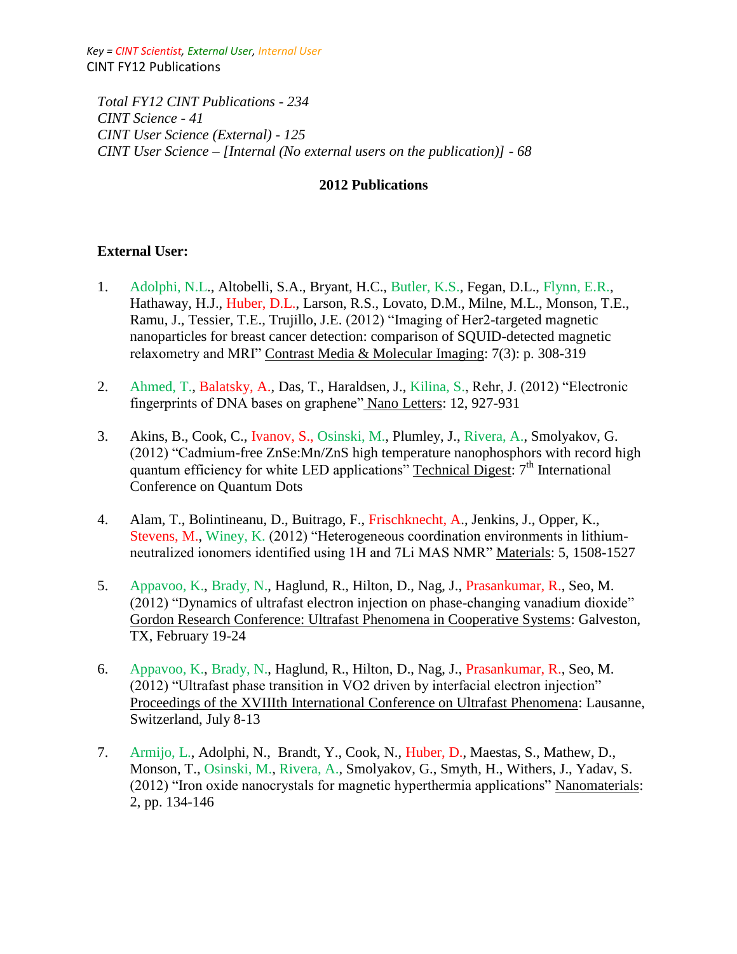*Key = CINT Scientist, External User, Internal User* CINT FY12 Publications

*Total FY12 CINT Publications - 234 CINT Science - 41 CINT User Science (External) - 125 CINT User Science – [Internal (No external users on the publication)] - 68*

#### **2012 Publications**

#### **External User:**

- 1. Adolphi, N.L., Altobelli, S.A., Bryant, H.C., Butler, K.S., Fegan, D.L., Flynn, E.R., Hathaway, H.J., Huber, D.L., Larson, R.S., Lovato, D.M., Milne, M.L., Monson, T.E., Ramu, J., Tessier, T.E., Trujillo, J.E. (2012) "Imaging of Her2-targeted magnetic nanoparticles for breast cancer detection: comparison of SQUID-detected magnetic relaxometry and MRI" Contrast Media & Molecular Imaging: 7(3): p. 308-319
- 2. Ahmed, T., Balatsky, A., Das, T., Haraldsen, J., Kilina, S., Rehr, J. (2012) "Electronic fingerprints of DNA bases on graphene" Nano Letters: 12, 927-931
- 3. Akins, B., Cook, C., Ivanov, S., Osinski, M., Plumley, J., Rivera, A., Smolyakov, G. (2012) "Cadmium-free ZnSe:Mn/ZnS high temperature nanophosphors with record high quantum efficiency for white LED applications" Technical Digest: 7<sup>th</sup> International Conference on Quantum Dots
- 4. Alam, T., Bolintineanu, D., Buitrago, F., Frischknecht, A., Jenkins, J., Opper, K., Stevens, M., Winey, K. (2012) "Heterogeneous coordination environments in lithiumneutralized ionomers identified using 1H and 7Li MAS NMR" Materials: 5, 1508-1527
- 5. Appavoo, K., Brady, N., Haglund, R., Hilton, D., Nag, J., Prasankumar, R., Seo, M. (2012) "Dynamics of ultrafast electron injection on phase-changing vanadium dioxide" Gordon Research Conference: Ultrafast Phenomena in Cooperative Systems: Galveston, TX, February 19-24
- 6. Appavoo, K., Brady, N., Haglund, R., Hilton, D., Nag, J., Prasankumar, R., Seo, M. (2012) "Ultrafast phase transition in VO2 driven by interfacial electron injection" Proceedings of the XVIIIth International Conference on Ultrafast Phenomena: Lausanne, Switzerland, July 8-13
- 7. Armijo, L., Adolphi, N., Brandt, Y., Cook, N., Huber, D., Maestas, S., Mathew, D., Monson, T., Osinski, M., Rivera, A., Smolyakov, G., Smyth, H., Withers, J., Yadav, S. (2012) "Iron oxide nanocrystals for magnetic hyperthermia applications" Nanomaterials: 2, pp. 134-146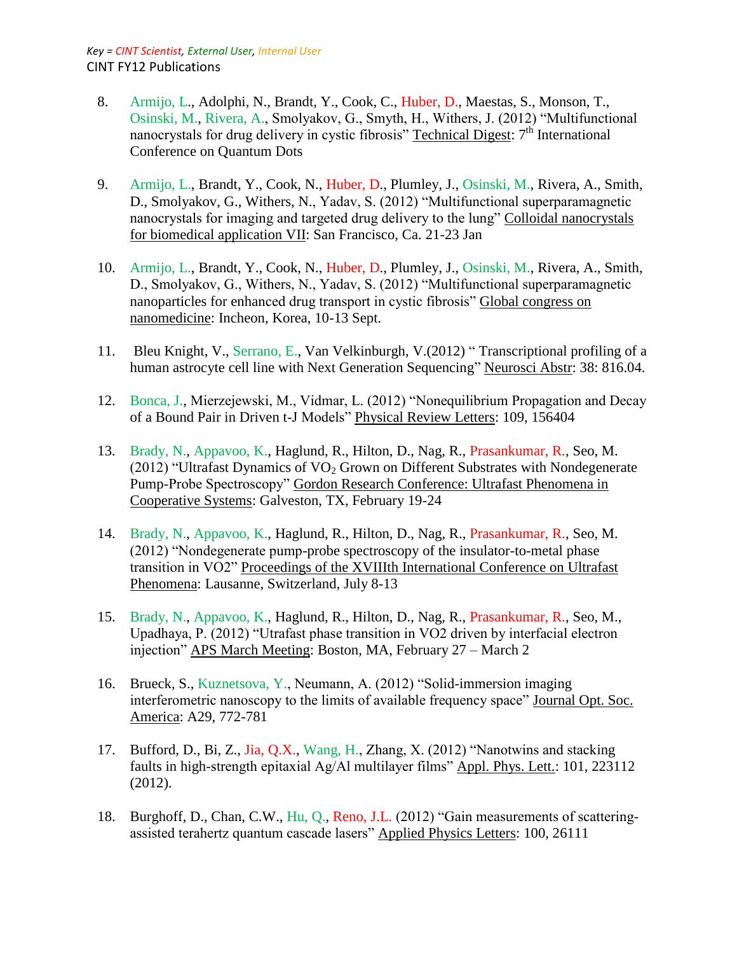- 8. Armijo, L., Adolphi, N., Brandt, Y., Cook, C., Huber, D., Maestas, S., Monson, T., Osinski, M., Rivera, A., Smolyakov, G., Smyth, H., Withers, J. (2012) "Multifunctional nanocrystals for drug delivery in cystic fibrosis" Technical Digest: 7<sup>th</sup> International Conference on Quantum Dots
- 9. Armijo, L., Brandt, Y., Cook, N., Huber, D., Plumley, J., Osinski, M., Rivera, A., Smith, D., Smolyakov, G., Withers, N., Yadav, S. (2012) "Multifunctional superparamagnetic nanocrystals for imaging and targeted drug delivery to the lung" Colloidal nanocrystals for biomedical application VII: San Francisco, Ca. 21-23 Jan
- 10. Armijo, L., Brandt, Y., Cook, N., Huber, D., Plumley, J., Osinski, M., Rivera, A., Smith, D., Smolyakov, G., Withers, N., Yadav, S. (2012) "Multifunctional superparamagnetic nanoparticles for enhanced drug transport in cystic fibrosis" Global congress on nanomedicine: Incheon, Korea, 10-13 Sept.
- 11. Bleu Knight, V., Serrano, E., Van Velkinburgh, V.(2012) " Transcriptional profiling of a human astrocyte cell line with Next Generation Sequencing" Neurosci Abstr: 38: 816.04.
- 12. Bonca, J., Mierzejewski, M., Vidmar, L. (2012) "Nonequilibrium Propagation and Decay of a Bound Pair in Driven t-J Models" Physical Review Letters: 109, 156404
- 13. Brady, N., Appavoo, K., Haglund, R., Hilton, D., Nag, R., Prasankumar, R., Seo, M. (2012) "Ultrafast Dynamics of  $VO<sub>2</sub>$  Grown on Different Substrates with Nondegenerate Pump-Probe Spectroscopy" Gordon Research Conference: Ultrafast Phenomena in Cooperative Systems: Galveston, TX, February 19-24
- 14. Brady, N., Appavoo, K., Haglund, R., Hilton, D., Nag, R., Prasankumar, R., Seo, M. (2012) "Nondegenerate pump-probe spectroscopy of the insulator-to-metal phase transition in VO2" Proceedings of the XVIIIth International Conference on Ultrafast Phenomena: Lausanne, Switzerland, July 8-13
- 15. Brady, N., Appavoo, K., Haglund, R., Hilton, D., Nag, R., Prasankumar, R., Seo, M., Upadhaya, P. (2012) "Utrafast phase transition in VO2 driven by interfacial electron injection" APS March Meeting: Boston, MA, February 27 – March 2
- 16. Brueck, S., Kuznetsova, Y., Neumann, A. (2012) "Solid-immersion imaging interferometric nanoscopy to the limits of available frequency space" Journal Opt. Soc. America: A29, 772-781
- 17. Bufford, D., Bi, Z., Jia, Q.X., Wang, H., Zhang, X. (2012) "Nanotwins and stacking faults in high-strength epitaxial Ag/Al multilayer films" Appl. Phys. Lett.: 101, 223112 (2012).
- 18. Burghoff, D., Chan, C.W., Hu, Q., Reno, J.L. (2012) "Gain measurements of scatteringassisted terahertz quantum cascade lasers" Applied Physics Letters: 100, 26111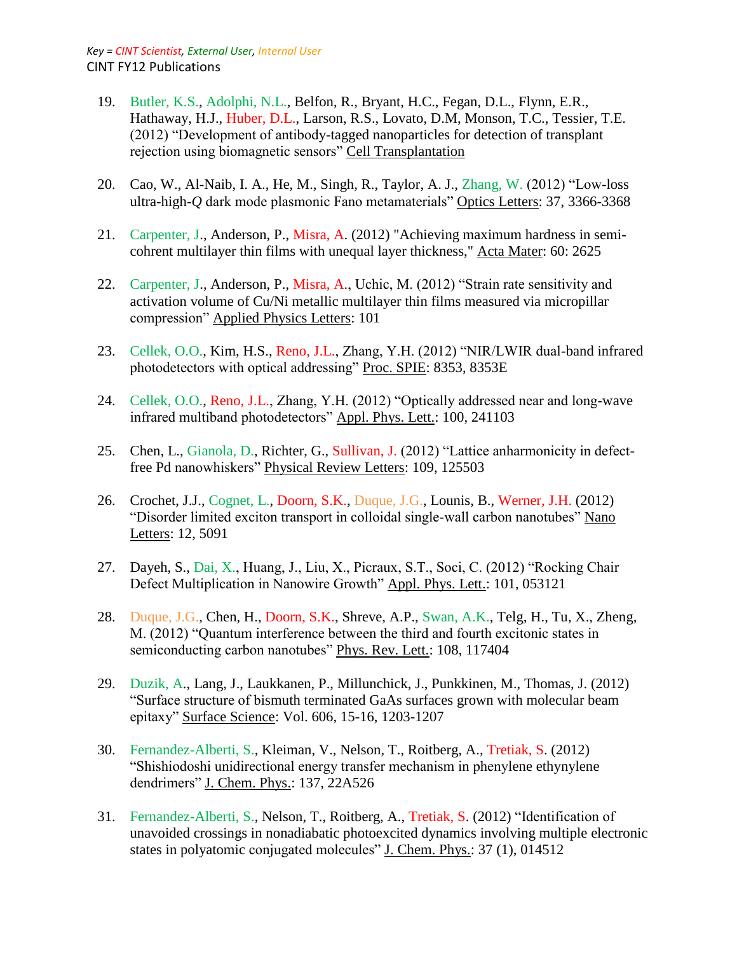- 19. Butler, K.S., Adolphi, N.L., Belfon, R., Bryant, H.C., Fegan, D.L., Flynn, E.R., Hathaway, H.J., Huber, D.L., Larson, R.S., Lovato, D.M, Monson, T.C., Tessier, T.E. (2012) "Development of antibody-tagged nanoparticles for detection of transplant rejection using biomagnetic sensors" Cell Transplantation
- 20. Cao, W., Al-Naib, I. A., He, M., Singh, R., Taylor, A. J., Zhang, W. (2012) "Low-loss ultra-high-*Q* dark mode plasmonic Fano metamaterials" Optics Letters: 37, 3366-3368
- 21. Carpenter, J., Anderson, P., Misra, A. (2012) "Achieving maximum hardness in semicohrent multilayer thin films with unequal layer thickness," Acta Mater: 60: 2625
- 22. Carpenter, J., Anderson, P., Misra, A., Uchic, M. (2012) "Strain rate sensitivity and activation volume of Cu/Ni metallic multilayer thin films measured via micropillar compression" Applied Physics Letters: 101
- 23. Cellek, O.O., Kim, H.S., Reno, J.L., Zhang, Y.H. (2012) "NIR/LWIR dual-band infrared photodetectors with optical addressing" Proc. SPIE: 8353, 8353E
- 24. Cellek, O.O., Reno, J.L., Zhang, Y.H. (2012) "Optically addressed near and long-wave infrared multiband photodetectors" Appl. Phys. Lett.: 100, 241103
- 25. Chen, L., Gianola, D., Richter, G., Sullivan, J. (2012) "Lattice anharmonicity in defectfree Pd nanowhiskers" Physical Review Letters: 109, 125503
- 26. Crochet, J.J., Cognet, L., Doorn, S.K., Duque, J.G., Lounis, B., Werner, J.H. (2012) "Disorder limited exciton transport in colloidal single-wall carbon nanotubes" Nano Letters: 12, 5091
- 27. Dayeh, S., Dai, X., Huang, J., Liu, X., Picraux, S.T., Soci, C. (2012) "Rocking Chair Defect Multiplication in Nanowire Growth" Appl. Phys. Lett.: 101, 053121
- 28. Duque, J.G., Chen, H., Doorn, S.K., Shreve, A.P., Swan, A.K., Telg, H., Tu, X., Zheng, M. (2012) "Quantum interference between the third and fourth excitonic states in semiconducting carbon nanotubes" Phys. Rev. Lett.: 108, 117404
- 29. Duzik, A., Lang, J., Laukkanen, P., Millunchick, J., Punkkinen, M., Thomas, J. (2012) "Surface structure of bismuth terminated GaAs surfaces grown with molecular beam epitaxy" Surface Science: Vol. 606, 15-16, 1203-1207
- 30. Fernandez-Alberti, S., Kleiman, V., Nelson, T., Roitberg, A., Tretiak, S. (2012) "Shishiodoshi unidirectional energy transfer mechanism in phenylene ethynylene dendrimers" J. Chem. Phys.: 137, 22A526
- 31. Fernandez-Alberti, S., Nelson, T., Roitberg, A., Tretiak, S. (2012) "Identification of unavoided crossings in nonadiabatic photoexcited dynamics involving multiple electronic states in polyatomic conjugated molecules" J. Chem. Phys.: 37 (1), 014512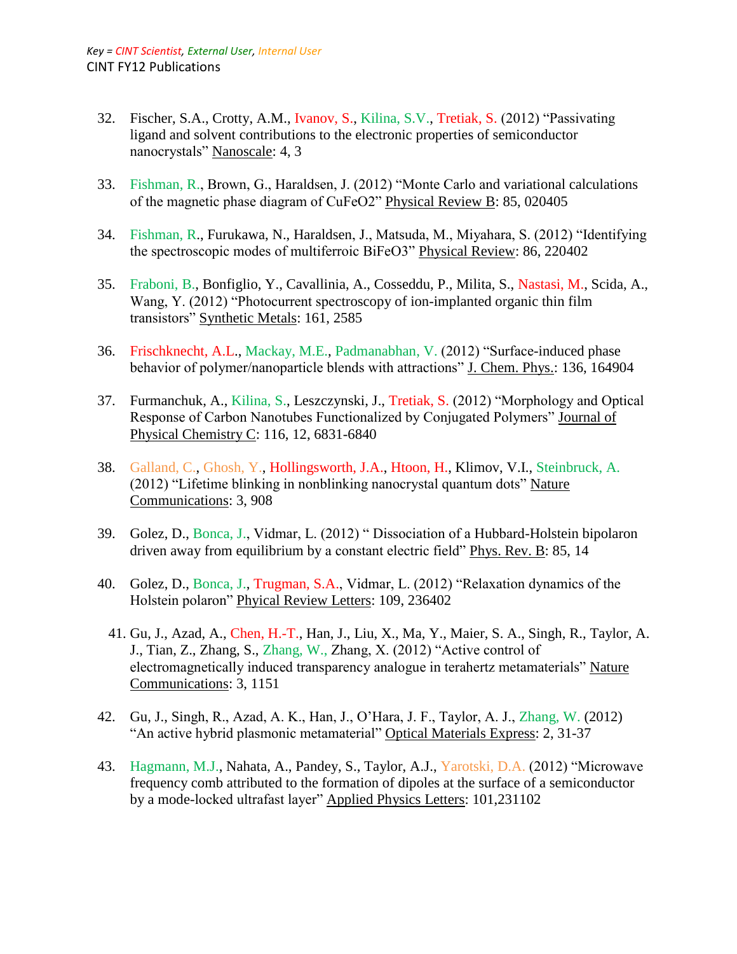- 32. Fischer, S.A., Crotty, A.M., Ivanov, S., Kilina, S.V., Tretiak, S. (2012) "Passivating ligand and solvent contributions to the electronic properties of semiconductor nanocrystals" Nanoscale: 4, 3
- 33. Fishman, R., Brown, G., Haraldsen, J. (2012) "Monte Carlo and variational calculations of the magnetic phase diagram of CuFeO2" Physical Review B: 85, 020405
- 34. Fishman, R., Furukawa, N., Haraldsen, J., Matsuda, M., Miyahara, S. (2012) "Identifying the spectroscopic modes of multiferroic BiFeO3" Physical Review: 86, 220402
- 35. Fraboni, B., Bonfiglio, Y., Cavallinia, A., Cosseddu, P., Milita, S., Nastasi, M., Scida, A., Wang, Y. (2012) "Photocurrent spectroscopy of ion-implanted organic thin film transistors" Synthetic Metals: 161, 2585
- 36. Frischknecht, A.L., Mackay, M.E., Padmanabhan, V. (2012) "Surface-induced phase behavior of polymer/nanoparticle blends with attractions" J. Chem. Phys.: 136, 164904
- 37. Furmanchuk, A., Kilina, S., Leszczynski, J., Tretiak, S. (2012) "Morphology and Optical Response of Carbon Nanotubes Functionalized by Conjugated Polymers" Journal of Physical Chemistry C: 116, 12, 6831-6840
- 38. Galland, C., Ghosh, Y., Hollingsworth, J.A., Htoon, H., Klimov, V.I., Steinbruck, A. (2012) "Lifetime blinking in nonblinking nanocrystal quantum dots" Nature Communications: 3, 908
- 39. Golez, D., Bonca, J., Vidmar, L. (2012) " Dissociation of a Hubbard-Holstein bipolaron driven away from equilibrium by a constant electric field" Phys. Rev. B: 85, 14
- 40. Golez, D., Bonca, J., Trugman, S.A., Vidmar, L. (2012) "Relaxation dynamics of the Holstein polaron" Phyical Review Letters: 109, 236402
- 41. Gu, J., Azad, A., Chen, H.-T., Han, J., Liu, X., Ma, Y., Maier, S. A., Singh, R., Taylor, A. J., Tian, Z., Zhang, S., Zhang, W., Zhang, X. (2012) "Active control of electromagnetically induced transparency analogue in terahertz metamaterials" Nature Communications: 3, 1151
- 42. Gu, J., Singh, R., Azad, A. K., Han, J., O'Hara, J. F., Taylor, A. J., Zhang, W. (2012) "An active hybrid plasmonic metamaterial" Optical Materials Express: 2, 31-37
- 43. Hagmann, M.J., Nahata, A., Pandey, S., Taylor, A.J., Yarotski, D.A. (2012) "Microwave frequency comb attributed to the formation of dipoles at the surface of a semiconductor by a mode-locked ultrafast layer" Applied Physics Letters: 101,231102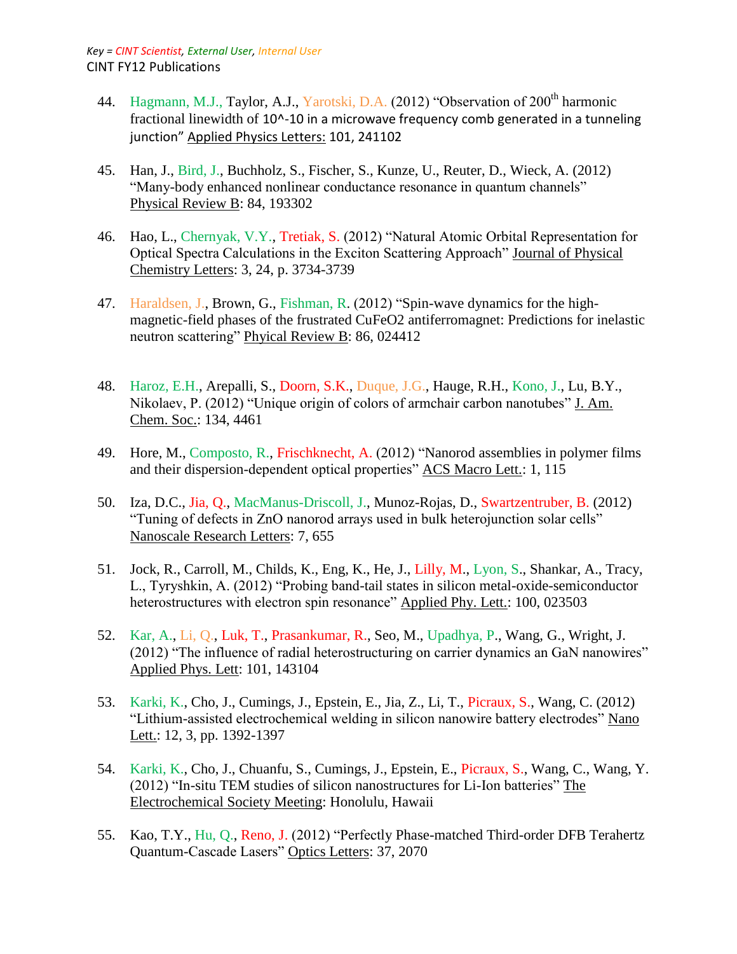- 44. Hagmann, M.J., Taylor, A.J., Yarotski, D.A. (2012) "Observation of 200<sup>th</sup> harmonic fractional linewidth of 10^-10 in a microwave frequency comb generated in a tunneling junction" Applied Physics Letters: 101, 241102
- 45. Han, J., Bird, J., Buchholz, S., Fischer, S., Kunze, U., Reuter, D., Wieck, A. (2012) "Many-body enhanced nonlinear conductance resonance in quantum channels" Physical Review B: 84, 193302
- 46. Hao, L., Chernyak, V.Y., Tretiak, S. (2012) "Natural Atomic Orbital Representation for Optical Spectra Calculations in the Exciton Scattering Approach" Journal of Physical Chemistry Letters: 3, 24, p. 3734-3739
- 47. Haraldsen, J., Brown, G., Fishman, R. (2012) "Spin-wave dynamics for the highmagnetic-field phases of the frustrated CuFeO2 antiferromagnet: Predictions for inelastic neutron scattering" Phyical Review B: 86, 024412
- 48. Haroz, E.H., Arepalli, S., Doorn, S.K., Duque, J.G., Hauge, R.H., Kono, J., Lu, B.Y., Nikolaev, P. (2012) "Unique origin of colors of armchair carbon nanotubes" J. Am. Chem. Soc.: 134, 4461
- 49. Hore, M., Composto, R., Frischknecht, A. (2012) "Nanorod assemblies in polymer films and their dispersion-dependent optical properties" ACS Macro Lett.: 1, 115
- 50. Iza, D.C., Jia, Q., MacManus-Driscoll, J., Munoz-Rojas, D., Swartzentruber, B. (2012) "Tuning of defects in ZnO nanorod arrays used in bulk heterojunction solar cells" Nanoscale Research Letters: 7, 655
- 51. Jock, R., Carroll, M., Childs, K., Eng, K., He, J., Lilly, M., Lyon, S., Shankar, A., Tracy, L., Tyryshkin, A. (2012) "Probing band-tail states in silicon metal-oxide-semiconductor heterostructures with electron spin resonance" Applied Phy. Lett.: 100, 023503
- 52. Kar, A., Li, Q., Luk, T., Prasankumar, R., Seo, M., Upadhya, P., Wang, G., Wright, J. (2012) "The influence of radial heterostructuring on carrier dynamics an GaN nanowires" Applied Phys. Lett: 101, 143104
- 53. Karki, K., Cho, J., Cumings, J., Epstein, E., Jia, Z., Li, T., Picraux, S., Wang, C. (2012) "Lithium-assisted electrochemical welding in silicon nanowire battery electrodes" Nano Lett.: 12, 3, pp. 1392-1397
- 54. Karki, K., Cho, J., Chuanfu, S., Cumings, J., Epstein, E., Picraux, S., Wang, C., Wang, Y. (2012) "In-situ TEM studies of silicon nanostructures for Li-Ion batteries" The Electrochemical Society Meeting: Honolulu, Hawaii
- 55. Kao, T.Y., Hu, Q., Reno, J. (2012) "Perfectly Phase-matched Third-order DFB Terahertz Quantum-Cascade Lasers" Optics Letters: 37, 2070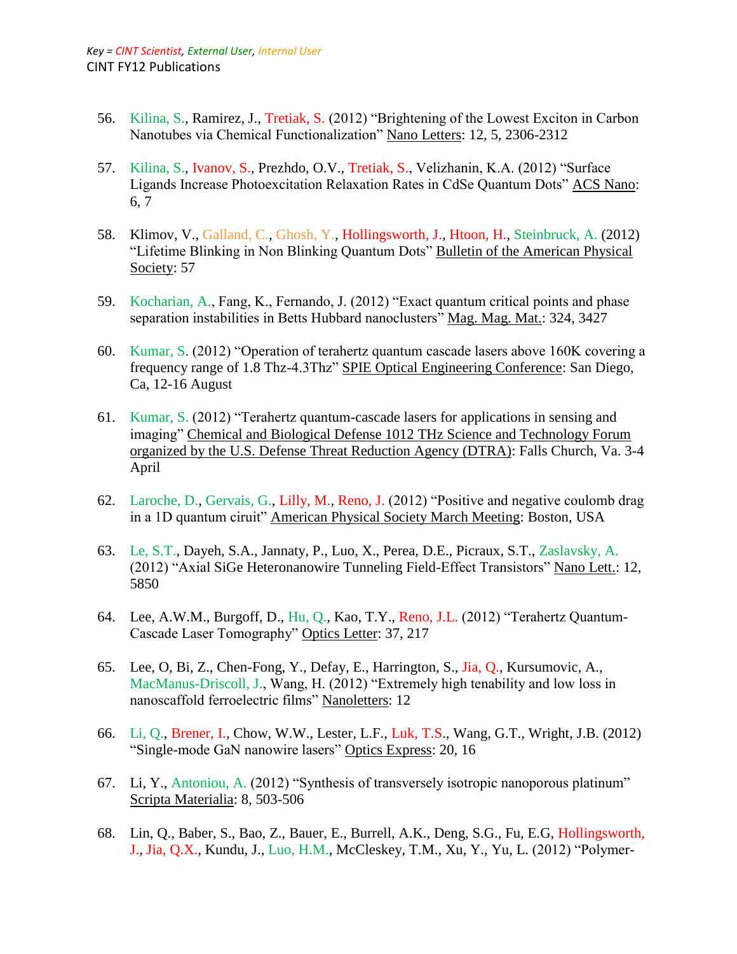- 56. Kilina, S., Ramirez, J., Tretiak, S. (2012) "Brightening of the Lowest Exciton in Carbon Nanotubes via Chemical Functionalization" Nano Letters: 12, 5, 2306-2312
- 57. Kilina, S., Ivanov, S., Prezhdo, O.V., Tretiak, S., Velizhanin, K.A. (2012) "Surface Ligands Increase Photoexcitation Relaxation Rates in CdSe Quantum Dots" ACS Nano: 6, 7
- 58. Klimov, V., Galland, C., Ghosh, Y., Hollingsworth, J., Htoon, H., Steinbruck, A. (2012) "Lifetime Blinking in Non Blinking Quantum Dots" Bulletin of the American Physical Society: 57
- 59. Kocharian, A., Fang, K., Fernando, J. (2012) "Exact quantum critical points and phase separation instabilities in Betts Hubbard nanoclusters" Mag. Mag. Mat.: 324, 3427
- 60. Kumar, S. (2012) "Operation of terahertz quantum cascade lasers above 160K covering a frequency range of 1.8 Thz-4.3Thz" SPIE Optical Engineering Conference: San Diego, Ca, 12-16 August
- 61. Kumar, S. (2012) "Terahertz quantum-cascade lasers for applications in sensing and imaging" Chemical and Biological Defense 1012 THz Science and Technology Forum organized by the U.S. Defense Threat Reduction Agency (DTRA): Falls Church, Va. 3-4 April
- 62. Laroche, D., Gervais, G., Lilly, M., Reno, J. (2012) "Positive and negative coulomb drag in a 1D quantum ciruit" American Physical Society March Meeting: Boston, USA
- 63. Le, S.T., Dayeh, S.A., Jannaty, P., Luo, X., Perea, D.E., Picraux, S.T., Zaslavsky, A. (2012) "Axial SiGe Heteronanowire Tunneling Field-Effect Transistors" Nano Lett.: 12, 5850
- 64. Lee, A.W.M., Burgoff, D., Hu, Q., Kao, T.Y., Reno, J.L. (2012) "Terahertz Quantum-Cascade Laser Tomography" Optics Letter: 37, 217
- 65. Lee, O, Bi, Z., Chen-Fong, Y., Defay, E., Harrington, S., Jia, Q., Kursumovic, A., MacManus-Driscoll, J., Wang, H. (2012) "Extremely high tenability and low loss in nanoscaffold ferroelectric films" Nanoletters: 12
- 66. Li, Q., Brener, I., Chow, W.W., Lester, L.F., Luk, T.S., Wang, G.T., Wright, J.B. (2012) "Single-mode GaN nanowire lasers" Optics Express: 20, 16
- 67. Li, Y., Antoniou, A. (2012) "Synthesis of transversely isotropic nanoporous platinum" Scripta Materialia: 8, 503-506
- 68. Lin, Q., Baber, S., Bao, Z., Bauer, E., Burrell, A.K., Deng, S.G., Fu, E.G, Hollingsworth, J., Jia, Q.X., Kundu, J., Luo, H.M., McCleskey, T.M., Xu, Y., Yu, L. (2012) "Polymer-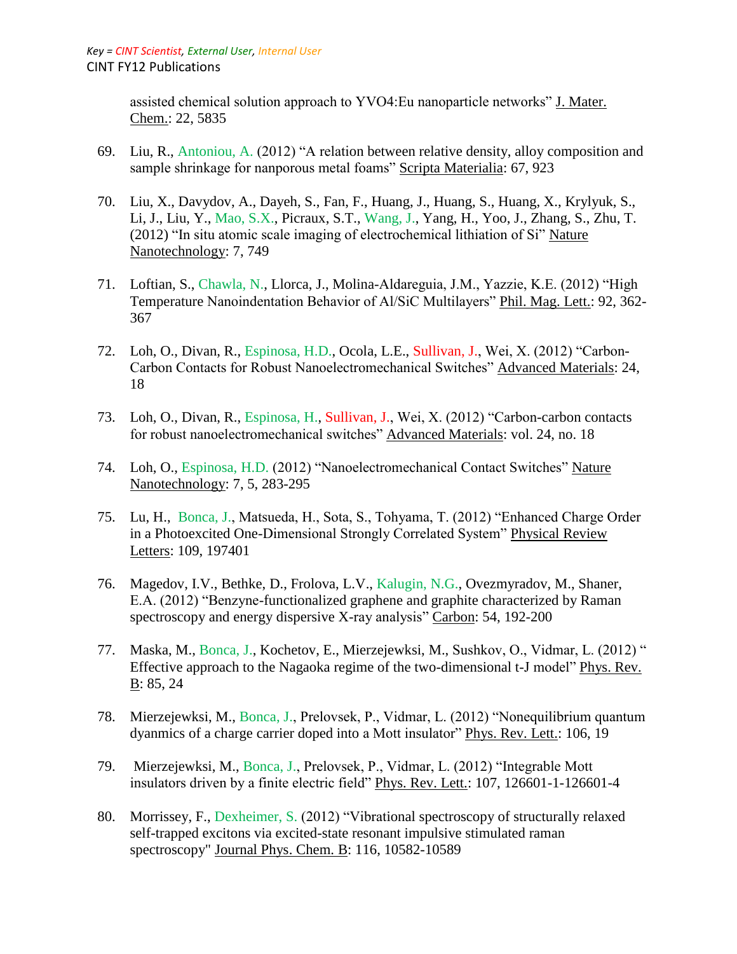assisted chemical solution approach to YVO4:Eu nanoparticle networks" J. Mater. Chem.: 22, 5835

- 69. Liu, R., Antoniou, A. (2012) "A relation between relative density, alloy composition and sample shrinkage for nanporous metal foams" Scripta Materialia: 67, 923
- 70. Liu, X., Davydov, A., Dayeh, S., Fan, F., Huang, J., Huang, S., Huang, X., Krylyuk, S., Li, J., Liu, Y., Mao, S.X., Picraux, S.T., Wang, J., Yang, H., Yoo, J., Zhang, S., Zhu, T. (2012) "In situ atomic scale imaging of electrochemical lithiation of Si" Nature Nanotechnology: 7, 749
- 71. Loftian, S., Chawla, N., Llorca, J., Molina-Aldareguia, J.M., Yazzie, K.E. (2012) "High Temperature Nanoindentation Behavior of Al/SiC Multilayers" Phil. Mag. Lett.: 92, 362- 367
- 72. Loh, O., Divan, R., Espinosa, H.D., Ocola, L.E., Sullivan, J., Wei, X. (2012) "Carbon-Carbon Contacts for Robust Nanoelectromechanical Switches" Advanced Materials: 24, 18
- 73. Loh, O., Divan, R., Espinosa, H., Sullivan, J., Wei, X. (2012) "Carbon-carbon contacts for robust nanoelectromechanical switches" Advanced Materials: vol. 24, no. 18
- 74. Loh, O., Espinosa, H.D. (2012) "Nanoelectromechanical Contact Switches" Nature Nanotechnology: 7, 5, 283-295
- 75. Lu, H., Bonca, J., Matsueda, H., Sota, S., Tohyama, T. (2012) "Enhanced Charge Order in a Photoexcited One-Dimensional Strongly Correlated System" Physical Review Letters: 109, 197401
- 76. Magedov, I.V., Bethke, D., Frolova, L.V., Kalugin, N.G., Ovezmyradov, M., Shaner, E.A. (2012) "Benzyne-functionalized graphene and graphite characterized by Raman spectroscopy and energy dispersive X-ray analysis" Carbon: 54, 192-200
- 77. Maska, M., Bonca, J., Kochetov, E., Mierzejewksi, M., Sushkov, O., Vidmar, L. (2012) " Effective approach to the Nagaoka regime of the two-dimensional t-J model" Phys. Rev. B: 85, 24
- 78. Mierzejewksi, M., Bonca, J., Prelovsek, P., Vidmar, L. (2012) "Nonequilibrium quantum dyanmics of a charge carrier doped into a Mott insulator" Phys. Rev. Lett.: 106, 19
- 79. Mierzejewksi, M., Bonca, J., Prelovsek, P., Vidmar, L. (2012) "Integrable Mott insulators driven by a finite electric field" Phys. Rev. Lett.: 107, 126601-1-126601-4
- 80. Morrissey, F., Dexheimer, S. (2012) "Vibrational spectroscopy of structurally relaxed self-trapped excitons via excited-state resonant impulsive stimulated raman spectroscopy" Journal Phys. Chem. B: 116, 10582-10589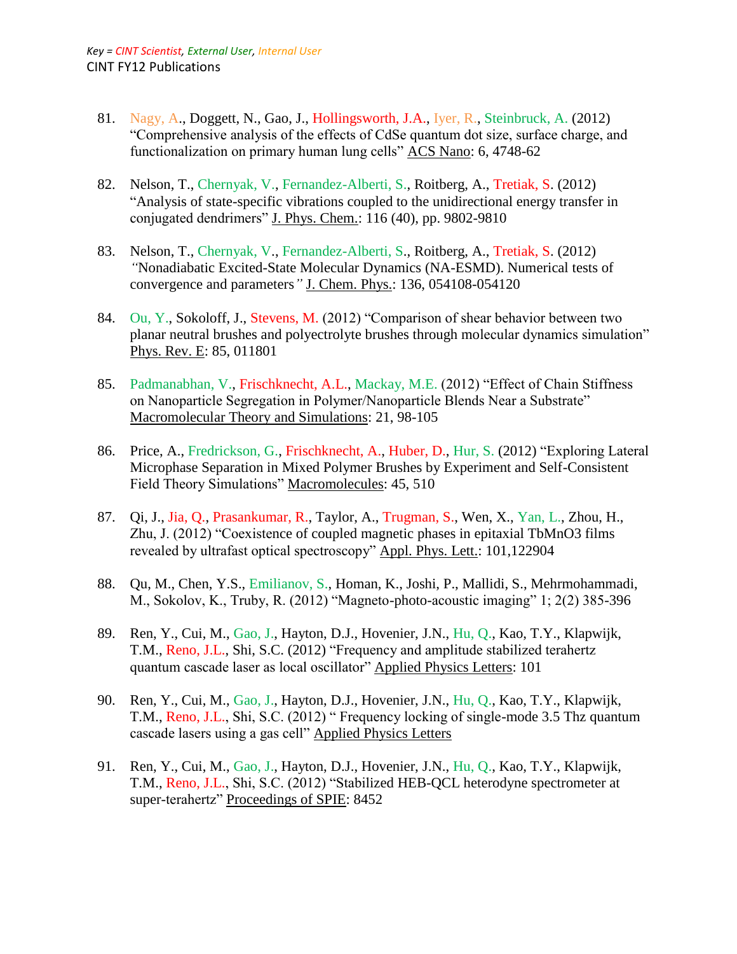- 81. Nagy, A., Doggett, N., Gao, J., Hollingsworth, J.A., Iyer, R., Steinbruck, A. (2012) "Comprehensive analysis of the effects of CdSe quantum dot size, surface charge, and functionalization on primary human lung cells" ACS Nano: 6, 4748-62
- 82. Nelson, T., Chernyak, V., Fernandez-Alberti, S., Roitberg, A., Tretiak, S. (2012) "Analysis of state-specific vibrations coupled to the unidirectional energy transfer in conjugated dendrimers" J. Phys. Chem.: 116 (40), pp. 9802-9810
- 83. Nelson, T., Chernyak, V., Fernandez-Alberti, S., Roitberg, A., Tretiak, S. (2012) *"*Nonadiabatic Excited-State Molecular Dynamics (NA-ESMD). Numerical tests of convergence and parameters*"* J. Chem. Phys.: 136, 054108-054120
- 84. Ou, Y., Sokoloff, J., Stevens, M. (2012) "Comparison of shear behavior between two planar neutral brushes and polyectrolyte brushes through molecular dynamics simulation" Phys. Rev. E: 85, 011801
- 85. Padmanabhan, V., Frischknecht, A.L., Mackay, M.E. (2012) "Effect of Chain Stiffness on Nanoparticle Segregation in Polymer/Nanoparticle Blends Near a Substrate" Macromolecular Theory and Simulations: 21, 98-105
- 86. Price, A., Fredrickson, G., Frischknecht, A., Huber, D., Hur, S. (2012) "Exploring Lateral Microphase Separation in Mixed Polymer Brushes by Experiment and Self-Consistent Field Theory Simulations" Macromolecules: 45, 510
- 87. Qi, J., Jia, Q., Prasankumar, R., Taylor, A., Trugman, S., Wen, X., Yan, L., Zhou, H., Zhu, J. (2012) "Coexistence of coupled magnetic phases in epitaxial TbMnO3 films revealed by ultrafast optical spectroscopy" Appl. Phys. Lett.: 101,122904
- 88. Qu, M., Chen, Y.S., Emilianov, S., Homan, K., Joshi, P., Mallidi, S., Mehrmohammadi, M., Sokolov, K., Truby, R. (2012) "Magneto-photo-acoustic imaging" 1; 2(2) 385-396
- 89. Ren, Y., Cui, M., Gao, J., Hayton, D.J., Hovenier, J.N., Hu, Q., Kao, T.Y., Klapwijk, T.M., Reno, J.L., Shi, S.C. (2012) "Frequency and amplitude stabilized terahertz quantum cascade laser as local oscillator" Applied Physics Letters: 101
- 90. Ren, Y., Cui, M., Gao, J., Hayton, D.J., Hovenier, J.N., Hu, Q., Kao, T.Y., Klapwijk, T.M., Reno, J.L., Shi, S.C. (2012) " Frequency locking of single-mode 3.5 Thz quantum cascade lasers using a gas cell" Applied Physics Letters
- 91. Ren, Y., Cui, M., Gao, J., Hayton, D.J., Hovenier, J.N., Hu, Q., Kao, T.Y., Klapwijk, T.M., Reno, J.L., Shi, S.C. (2012) "Stabilized HEB-QCL heterodyne spectrometer at super-terahertz" Proceedings of SPIE: 8452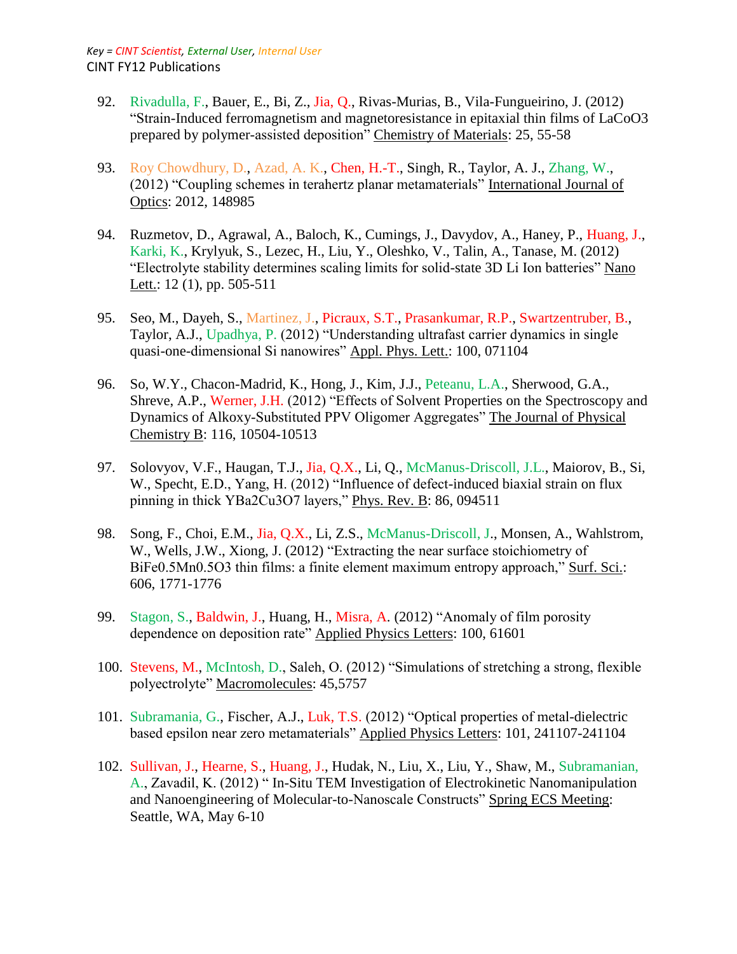- 92. Rivadulla, F., Bauer, E., Bi, Z., Jia, Q., Rivas-Murias, B., Vila-Fungueirino, J. (2012) "Strain-Induced ferromagnetism and magnetoresistance in epitaxial thin films of LaCoO3 prepared by polymer-assisted deposition" Chemistry of Materials: 25, 55-58
- 93. Roy Chowdhury, D., Azad, A. K., Chen, H.-T., Singh, R., Taylor, A. J., Zhang, W., (2012) "Coupling schemes in terahertz planar metamaterials" International Journal of Optics: 2012, 148985
- 94. Ruzmetov, D., Agrawal, A., Baloch, K., Cumings, J., Davydov, A., Haney, P., Huang, J., Karki, K., Krylyuk, S., Lezec, H., Liu, Y., Oleshko, V., Talin, A., Tanase, M. (2012) "Electrolyte stability determines scaling limits for solid-state 3D Li Ion batteries" Nano Lett.: 12 (1), pp. 505-511
- 95. Seo, M., Dayeh, S., Martinez, J., Picraux, S.T., Prasankumar, R.P., Swartzentruber, B., Taylor, A.J., Upadhya, P. (2012) "Understanding ultrafast carrier dynamics in single quasi-one-dimensional Si nanowires" Appl. Phys. Lett.: 100, 071104
- 96. So, W.Y., Chacon-Madrid, K., Hong, J., Kim, J.J., Peteanu, L.A., Sherwood, G.A., Shreve, A.P., Werner, J.H. (2012) "Effects of Solvent Properties on the Spectroscopy and Dynamics of Alkoxy-Substituted PPV Oligomer Aggregates" The Journal of Physical Chemistry B: 116, 10504-10513
- 97. Solovyov, V.F., Haugan, T.J., Jia, Q.X., Li, Q., McManus-Driscoll, J.L., Maiorov, B., Si, W., Specht, E.D., Yang, H. (2012) "Influence of defect-induced biaxial strain on flux pinning in thick YBa2Cu3O7 layers," Phys. Rev. B: 86, 094511
- 98. Song, F., Choi, E.M., Jia, Q.X., Li, Z.S., McManus-Driscoll, J., Monsen, A., Wahlstrom, W., Wells, J.W., Xiong, J. (2012) "Extracting the near surface stoichiometry of BiFe0.5Mn0.5O3 thin films: a finite element maximum entropy approach," Surf. Sci.: 606, 1771-1776
- 99. Stagon, S., Baldwin, J., Huang, H., Misra, A. (2012) "Anomaly of film porosity dependence on deposition rate" Applied Physics Letters: 100, 61601
- 100. Stevens, M., McIntosh, D., Saleh, O. (2012) "Simulations of stretching a strong, flexible polyectrolyte" Macromolecules: 45,5757
- 101. Subramania, G., Fischer, A.J., Luk, T.S. (2012) "Optical properties of metal-dielectric based epsilon near zero metamaterials" Applied Physics Letters: 101, 241107-241104
- 102. Sullivan, J., Hearne, S., Huang, J., Hudak, N., Liu, X., Liu, Y., Shaw, M., Subramanian, A., Zavadil, K. (2012) " In-Situ TEM Investigation of Electrokinetic Nanomanipulation and Nanoengineering of Molecular-to-Nanoscale Constructs" Spring ECS Meeting: Seattle, WA, May 6-10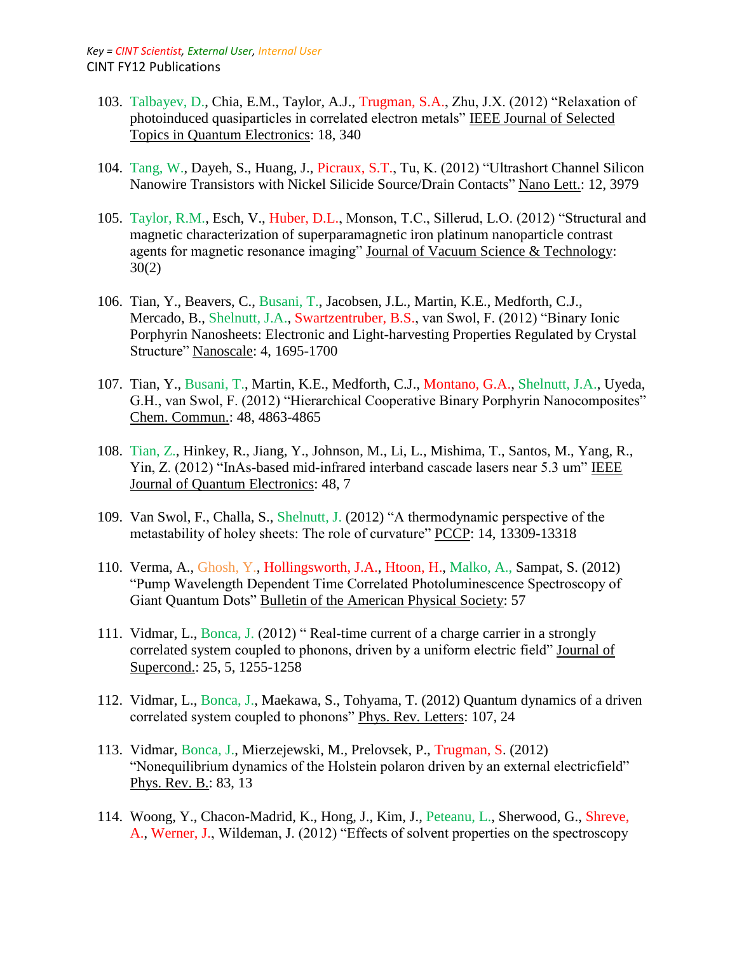- 103. Talbayev, D., Chia, E.M., Taylor, A.J., Trugman, S.A., Zhu, J.X. (2012) "Relaxation of photoinduced quasiparticles in correlated electron metals" IEEE Journal of Selected Topics in Quantum Electronics: 18, 340
- 104. Tang, W., Dayeh, S., Huang, J., Picraux, S.T., Tu, K. (2012) "Ultrashort Channel Silicon Nanowire Transistors with Nickel Silicide Source/Drain Contacts" Nano Lett.: 12, 3979
- 105. Taylor, R.M., Esch, V., Huber, D.L., Monson, T.C., Sillerud, L.O. (2012) "Structural and magnetic characterization of superparamagnetic iron platinum nanoparticle contrast agents for magnetic resonance imaging" Journal of Vacuum Science & Technology: 30(2)
- 106. Tian, Y., Beavers, C., Busani, T., Jacobsen, J.L., Martin, K.E., Medforth, C.J., Mercado, B., Shelnutt, J.A., Swartzentruber, B.S., van Swol, F. (2012) "Binary Ionic Porphyrin Nanosheets: Electronic and Light-harvesting Properties Regulated by Crystal Structure" Nanoscale: 4, 1695-1700
- 107. Tian, Y., Busani, T., Martin, K.E., Medforth, C.J., Montano, G.A., Shelnutt, J.A., Uyeda, G.H., van Swol, F. (2012) "Hierarchical Cooperative Binary Porphyrin Nanocomposites" Chem. Commun.: 48, 4863-4865
- 108. Tian, Z., Hinkey, R., Jiang, Y., Johnson, M., Li, L., Mishima, T., Santos, M., Yang, R., Yin, Z. (2012) "InAs-based mid-infrared interband cascade lasers near 5.3 um" IEEE Journal of Quantum Electronics: 48, 7
- 109. Van Swol, F., Challa, S., Shelnutt, J. (2012) "A thermodynamic perspective of the metastability of holey sheets: The role of curvature" PCCP: 14, 13309-13318
- 110. Verma, A., Ghosh, Y., Hollingsworth, J.A., Htoon, H., Malko, A., Sampat, S. (2012) "Pump Wavelength Dependent Time Correlated Photoluminescence Spectroscopy of Giant Quantum Dots" Bulletin of the American Physical Society: 57
- 111. Vidmar, L., Bonca, J. (2012) " Real-time current of a charge carrier in a strongly correlated system coupled to phonons, driven by a uniform electric field" Journal of Supercond.: 25, 5, 1255-1258
- 112. Vidmar, L., Bonca, J., Maekawa, S., Tohyama, T. (2012) Quantum dynamics of a driven correlated system coupled to phonons" Phys. Rev. Letters: 107, 24
- 113. Vidmar, Bonca, J., Mierzejewski, M., Prelovsek, P., Trugman, S. (2012) "Nonequilibrium dynamics of the Holstein polaron driven by an external electricfield" Phys. Rev. B.: 83, 13
- 114. Woong, Y., Chacon-Madrid, K., Hong, J., Kim, J., Peteanu, L., Sherwood, G., Shreve, A., Werner, J., Wildeman, J. (2012) "Effects of solvent properties on the spectroscopy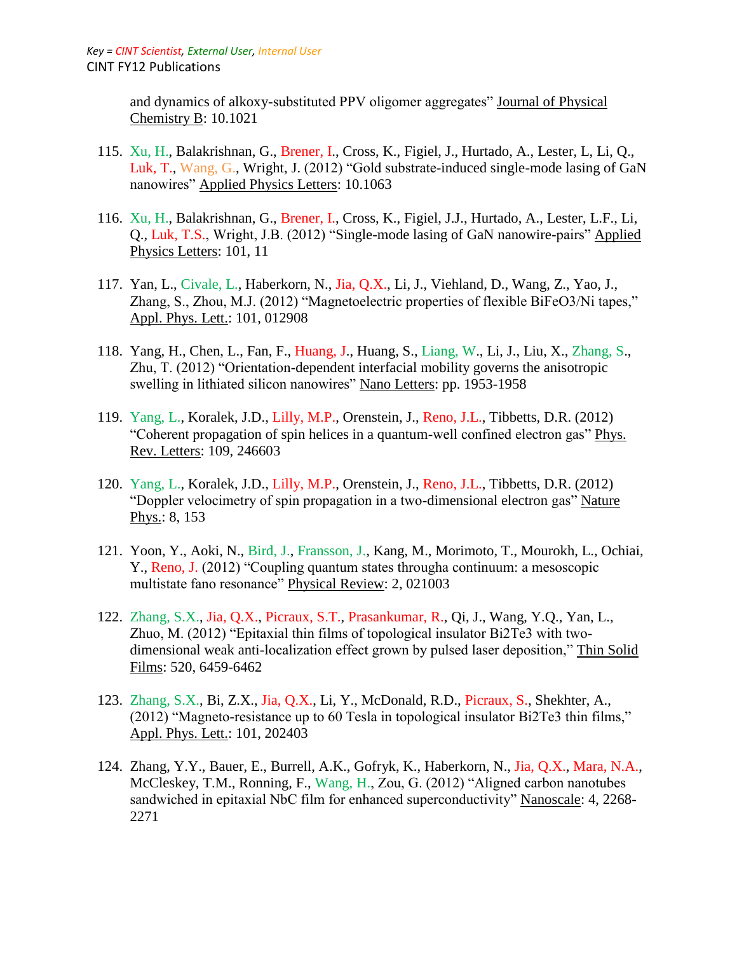and dynamics of alkoxy-substituted PPV oligomer aggregates" Journal of Physical Chemistry B: 10.1021

- 115. Xu, H., Balakrishnan, G., Brener, I., Cross, K., Figiel, J., Hurtado, A., Lester, L, Li, Q., Luk, T., Wang, G., Wright, J. (2012) "Gold substrate-induced single-mode lasing of GaN nanowires" Applied Physics Letters: 10.1063
- 116. Xu, H., Balakrishnan, G., Brener, I., Cross, K., Figiel, J.J., Hurtado, A., Lester, L.F., Li, Q., Luk, T.S., Wright, J.B. (2012) "Single-mode lasing of GaN nanowire-pairs" Applied Physics Letters: 101, 11
- 117. Yan, L., Civale, L., Haberkorn, N., Jia, Q.X., Li, J., Viehland, D., Wang, Z., Yao, J., Zhang, S., Zhou, M.J. (2012) "Magnetoelectric properties of flexible BiFeO3/Ni tapes," Appl. Phys. Lett.: 101, 012908
- 118. Yang, H., Chen, L., Fan, F., Huang, J., Huang, S., Liang, W., Li, J., Liu, X., Zhang, S., Zhu, T. (2012) "Orientation-dependent interfacial mobility governs the anisotropic swelling in lithiated silicon nanowires" Nano Letters: pp. 1953-1958
- 119. Yang, L., Koralek, J.D., Lilly, M.P., Orenstein, J., Reno, J.L., Tibbetts, D.R. (2012) "Coherent propagation of spin helices in a quantum-well confined electron gas" Phys. Rev. Letters: 109, 246603
- 120. Yang, L., Koralek, J.D., Lilly, M.P., Orenstein, J., Reno, J.L., Tibbetts, D.R. (2012) "Doppler velocimetry of spin propagation in a two-dimensional electron gas" Nature Phys.: 8, 153
- 121. Yoon, Y., Aoki, N., Bird, J., Fransson, J., Kang, M., Morimoto, T., Mourokh, L., Ochiai, Y., Reno, J. (2012) "Coupling quantum states througha continuum: a mesoscopic multistate fano resonance" Physical Review: 2, 021003
- 122. Zhang, S.X., Jia, Q.X., Picraux, S.T., Prasankumar, R., Qi, J., Wang, Y.Q., Yan, L., Zhuo, M. (2012) "Epitaxial thin films of topological insulator Bi2Te3 with twodimensional weak anti-localization effect grown by pulsed laser deposition," Thin Solid Films: 520, 6459-6462
- 123. Zhang, S.X., Bi, Z.X., Jia, Q.X., Li, Y., McDonald, R.D., Picraux, S., Shekhter, A., (2012) "Magneto-resistance up to 60 Tesla in topological insulator Bi2Te3 thin films," Appl. Phys. Lett.: 101, 202403
- 124. Zhang, Y.Y., Bauer, E., Burrell, A.K., Gofryk, K., Haberkorn, N., Jia, Q.X., Mara, N.A., McCleskey, T.M., Ronning, F., Wang, H., Zou, G. (2012) "Aligned carbon nanotubes sandwiched in epitaxial NbC film for enhanced superconductivity" Nanoscale: 4, 2268- 2271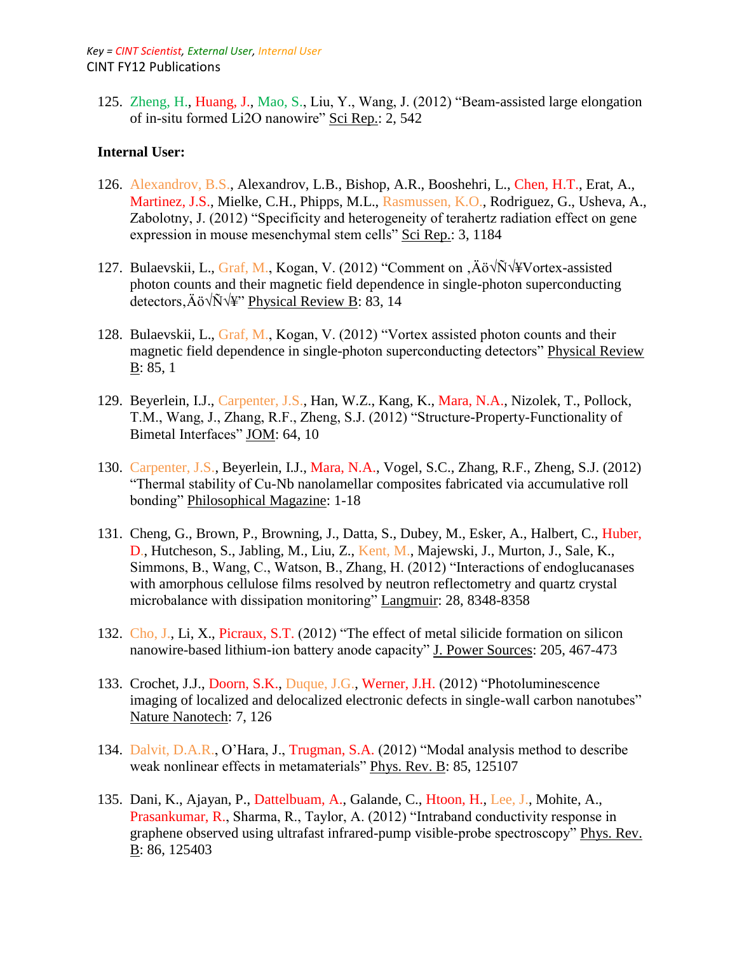125. Zheng, H., Huang, J., Mao, S., Liu, Y., Wang, J. (2012) "Beam-assisted large elongation of in-situ formed Li2O nanowire" Sci Rep.: 2, 542

### **Internal User:**

- 126. Alexandrov, B.S., Alexandrov, L.B., Bishop, A.R., Booshehri, L., Chen, H.T., Erat, A., Martinez, J.S., Mielke, C.H., Phipps, M.L., Rasmussen, K.O., Rodriguez, G., Usheva, A., Zabolotny, J. (2012) "Specificity and heterogeneity of terahertz radiation effect on gene expression in mouse mesenchymal stem cells" Sci Rep.: 3, 1184
- 127. Bulaevskii, L., Graf, M., Kogan, V. (2012) "Comment on ,Äö√Ñ√¥Vortex-assisted photon counts and their magnetic field dependence in single-photon superconducting detectors,Äö√Ñ√¥" Physical Review B: 83, 14
- 128. Bulaevskii, L., Graf, M., Kogan, V. (2012) "Vortex assisted photon counts and their magnetic field dependence in single-photon superconducting detectors" Physical Review B: 85, 1
- 129. Beyerlein, I.J., Carpenter, J.S., Han, W.Z., Kang, K., Mara, N.A., Nizolek, T., Pollock, T.M., Wang, J., Zhang, R.F., Zheng, S.J. (2012) "Structure-Property-Functionality of Bimetal Interfaces" JOM: 64, 10
- 130. Carpenter, J.S., Beyerlein, I.J., Mara, N.A., Vogel, S.C., Zhang, R.F., Zheng, S.J. (2012) "Thermal stability of Cu-Nb nanolamellar composites fabricated via accumulative roll bonding" Philosophical Magazine: 1-18
- 131. Cheng, G., Brown, P., Browning, J., Datta, S., Dubey, M., Esker, A., Halbert, C., Huber, D., Hutcheson, S., Jabling, M., Liu, Z., Kent, M., Majewski, J., Murton, J., Sale, K., Simmons, B., Wang, C., Watson, B., Zhang, H. (2012) "Interactions of endoglucanases with amorphous cellulose films resolved by neutron reflectometry and quartz crystal microbalance with dissipation monitoring" Langmuir: 28, 8348-8358
- 132. Cho, J., Li, X., Picraux, S.T. (2012) "The effect of metal silicide formation on silicon nanowire-based lithium-ion battery anode capacity" J. Power Sources: 205, 467-473
- 133. Crochet, J.J., Doorn, S.K., Duque, J.G., Werner, J.H. (2012) "Photoluminescence imaging of localized and delocalized electronic defects in single-wall carbon nanotubes" Nature Nanotech: 7, 126
- 134. Dalvit, D.A.R., O'Hara, J., Trugman, S.A. (2012) "Modal analysis method to describe weak nonlinear effects in metamaterials" Phys. Rev. B: 85, 125107
- 135. Dani, K., Ajayan, P., Dattelbuam, A., Galande, C., Htoon, H., Lee, J., Mohite, A., Prasankumar, R., Sharma, R., Taylor, A. (2012) "Intraband conductivity response in graphene observed using ultrafast infrared-pump visible-probe spectroscopy" Phys. Rev. B: 86, 125403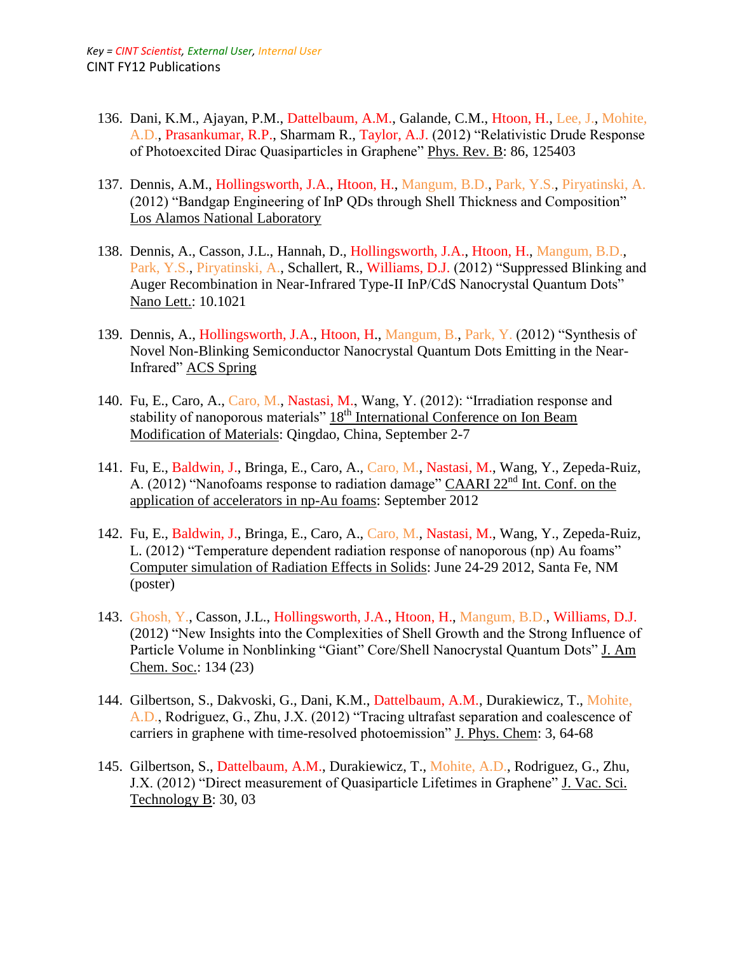- 136. Dani, K.M., Ajayan, P.M., Dattelbaum, A.M., Galande, C.M., Htoon, H., Lee, J., Mohite, A.D., Prasankumar, R.P., Sharmam R., Taylor, A.J. (2012) "Relativistic Drude Response of Photoexcited Dirac Quasiparticles in Graphene" Phys. Rev. B: 86, 125403
- 137. Dennis, A.M., Hollingsworth, J.A., Htoon, H., Mangum, B.D., Park, Y.S., Piryatinski, A. (2012) "Bandgap Engineering of InP QDs through Shell Thickness and Composition" Los Alamos National Laboratory
- 138. Dennis, A., Casson, J.L., Hannah, D., Hollingsworth, J.A., Htoon, H., Mangum, B.D., Park, Y.S., Piryatinski, A., Schallert, R., Williams, D.J. (2012) "Suppressed Blinking and Auger Recombination in Near-Infrared Type-II InP/CdS Nanocrystal Quantum Dots" Nano Lett.: 10.1021
- 139. Dennis, A., Hollingsworth, J.A., Htoon, H., Mangum, B., Park, Y. (2012) "Synthesis of Novel Non-Blinking Semiconductor Nanocrystal Quantum Dots Emitting in the Near-Infrared" ACS Spring
- 140. Fu, E., Caro, A., Caro, M., Nastasi, M., Wang, Y. (2012): "Irradiation response and stability of nanoporous materials" 18<sup>th</sup> International Conference on Ion Beam Modification of Materials: Qingdao, China, September 2-7
- 141. Fu, E., Baldwin, J., Bringa, E., Caro, A., Caro, M., Nastasi, M., Wang, Y., Zepeda-Ruiz, A. (2012) "Nanofoams response to radiation damage" CAARI 22<sup>nd</sup> Int. Conf. on the application of accelerators in np-Au foams: September 2012
- 142. Fu, E., Baldwin, J., Bringa, E., Caro, A., Caro, M., Nastasi, M., Wang, Y., Zepeda-Ruiz, L. (2012) "Temperature dependent radiation response of nanoporous (np) Au foams" Computer simulation of Radiation Effects in Solids: June 24-29 2012, Santa Fe, NM (poster)
- 143. Ghosh, Y., Casson, J.L., Hollingsworth, J.A., Htoon, H., Mangum, B.D., Williams, D.J. (2012) "New Insights into the Complexities of Shell Growth and the Strong Influence of Particle Volume in Nonblinking "Giant" Core/Shell Nanocrystal Quantum Dots" J. Am Chem. Soc.: 134 (23)
- 144. Gilbertson, S., Dakvoski, G., Dani, K.M., Dattelbaum, A.M., Durakiewicz, T., Mohite, A.D., Rodriguez, G., Zhu, J.X. (2012) "Tracing ultrafast separation and coalescence of carriers in graphene with time-resolved photoemission" J. Phys. Chem: 3, 64-68
- 145. Gilbertson, S., Dattelbaum, A.M., Durakiewicz, T., Mohite, A.D., Rodriguez, G., Zhu, J.X. (2012) "Direct measurement of Quasiparticle Lifetimes in Graphene" J. Vac. Sci. Technology B: 30, 03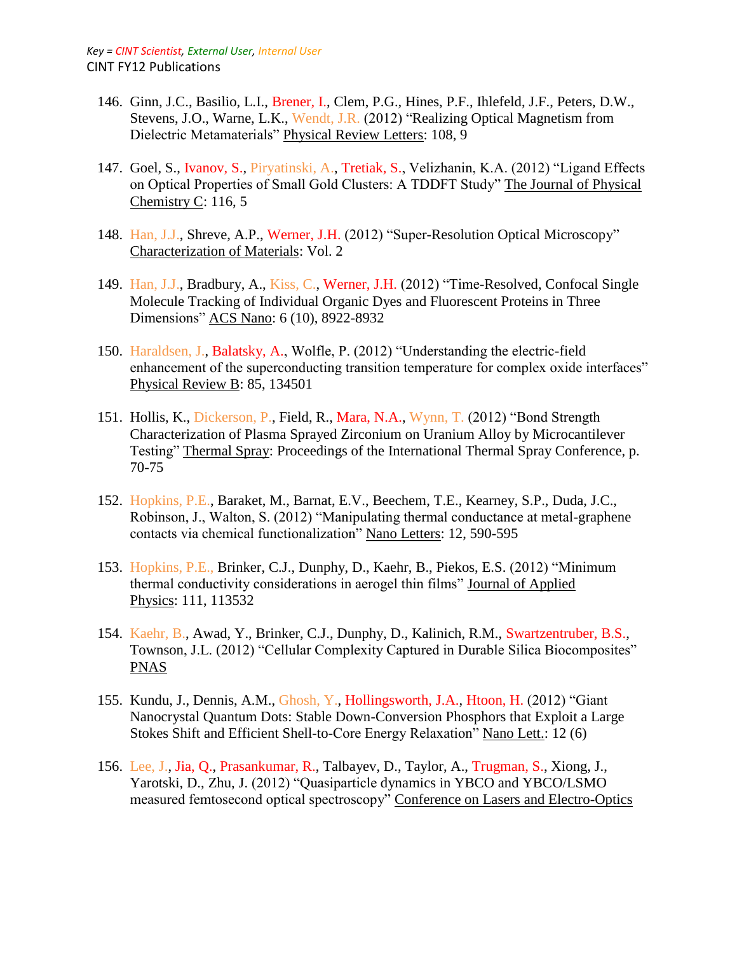- 146. Ginn, J.C., Basilio, L.I., Brener, I., Clem, P.G., Hines, P.F., Ihlefeld, J.F., Peters, D.W., Stevens, J.O., Warne, L.K., Wendt, J.R. (2012) "Realizing Optical Magnetism from Dielectric Metamaterials" Physical Review Letters: 108, 9
- 147. Goel, S., Ivanov, S., Piryatinski, A., Tretiak, S., Velizhanin, K.A. (2012) "Ligand Effects on Optical Properties of Small Gold Clusters: A TDDFT Study" The Journal of Physical Chemistry C: 116, 5
- 148. Han, J.J., Shreve, A.P., Werner, J.H. (2012) "Super-Resolution Optical Microscopy" Characterization of Materials: Vol. 2
- 149. Han, J.J., Bradbury, A., Kiss, C., Werner, J.H. (2012) "Time-Resolved, Confocal Single Molecule Tracking of Individual Organic Dyes and Fluorescent Proteins in Three Dimensions" ACS Nano: 6 (10), 8922-8932
- 150. Haraldsen, J., Balatsky, A., Wolfle, P. (2012) "Understanding the electric-field enhancement of the superconducting transition temperature for complex oxide interfaces" Physical Review B: 85, 134501
- 151. Hollis, K., Dickerson, P., Field, R., Mara, N.A., Wynn, T. (2012) "Bond Strength Characterization of Plasma Sprayed Zirconium on Uranium Alloy by Microcantilever Testing" Thermal Spray: Proceedings of the International Thermal Spray Conference, p. 70-75
- 152. Hopkins, P.E., Baraket, M., Barnat, E.V., Beechem, T.E., Kearney, S.P., Duda, J.C., Robinson, J., Walton, S. (2012) "Manipulating thermal conductance at metal-graphene contacts via chemical functionalization" Nano Letters: 12, 590-595
- 153. Hopkins, P.E., Brinker, C.J., Dunphy, D., Kaehr, B., Piekos, E.S. (2012) "Minimum thermal conductivity considerations in aerogel thin films" Journal of Applied Physics: 111, 113532
- 154. Kaehr, B., Awad, Y., Brinker, C.J., Dunphy, D., Kalinich, R.M., Swartzentruber, B.S., Townson, J.L. (2012) "Cellular Complexity Captured in Durable Silica Biocomposites" PNAS
- 155. Kundu, J., Dennis, A.M., Ghosh, Y., Hollingsworth, J.A., Htoon, H. (2012) "Giant Nanocrystal Quantum Dots: Stable Down-Conversion Phosphors that Exploit a Large Stokes Shift and Efficient Shell-to-Core Energy Relaxation" Nano Lett.: 12 (6)
- 156. Lee, J., Jia, Q., Prasankumar, R., Talbayev, D., Taylor, A., Trugman, S., Xiong, J., Yarotski, D., Zhu, J. (2012) "Quasiparticle dynamics in YBCO and YBCO/LSMO measured femtosecond optical spectroscopy" Conference on Lasers and Electro-Optics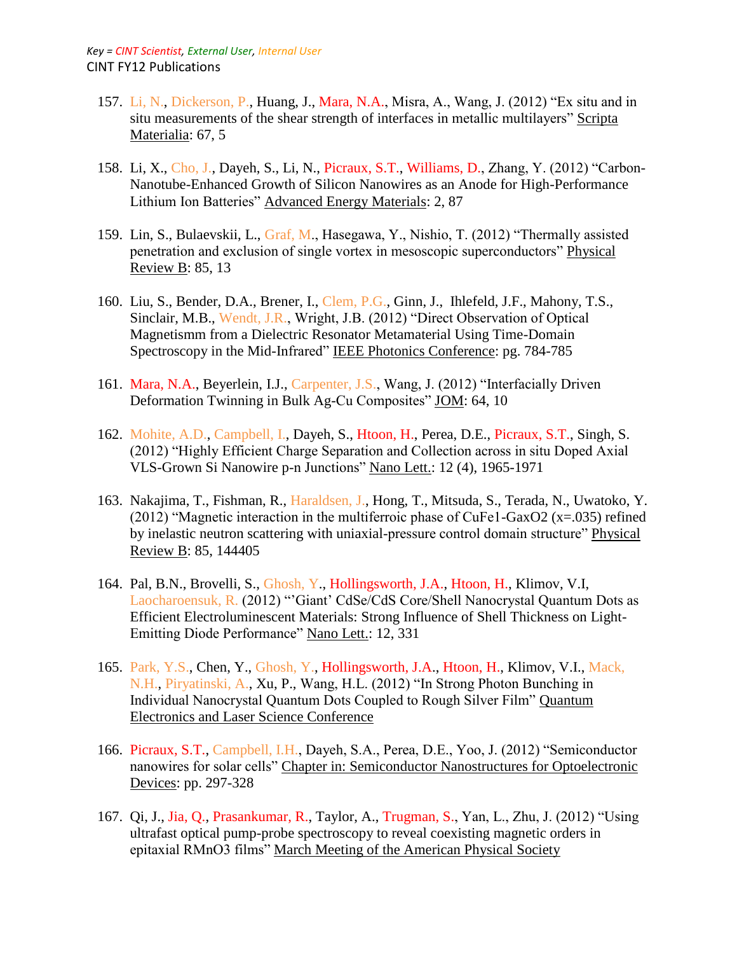- 157. Li, N., Dickerson, P., Huang, J., Mara, N.A., Misra, A., Wang, J. (2012) "Ex situ and in situ measurements of the shear strength of interfaces in metallic multilayers" Scripta Materialia: 67, 5
- 158. Li, X., Cho, J., Dayeh, S., Li, N., Picraux, S.T., Williams, D., Zhang, Y. (2012) "Carbon-Nanotube-Enhanced Growth of Silicon Nanowires as an Anode for High-Performance Lithium Ion Batteries" Advanced Energy Materials: 2, 87
- 159. Lin, S., Bulaevskii, L., Graf, M., Hasegawa, Y., Nishio, T. (2012) "Thermally assisted penetration and exclusion of single vortex in mesoscopic superconductors" Physical Review B: 85, 13
- 160. Liu, S., Bender, D.A., Brener, I., Clem, P.G., Ginn, J., Ihlefeld, J.F., Mahony, T.S., Sinclair, M.B., Wendt, J.R., Wright, J.B. (2012) "Direct Observation of Optical Magnetismm from a Dielectric Resonator Metamaterial Using Time-Domain Spectroscopy in the Mid-Infrared" IEEE Photonics Conference: pg. 784-785
- 161. Mara, N.A., Beyerlein, I.J., Carpenter, J.S., Wang, J. (2012) "Interfacially Driven Deformation Twinning in Bulk Ag-Cu Composites" JOM: 64, 10
- 162. Mohite, A.D., Campbell, I., Dayeh, S., Htoon, H., Perea, D.E., Picraux, S.T., Singh, S. (2012) "Highly Efficient Charge Separation and Collection across in situ Doped Axial VLS-Grown Si Nanowire p-n Junctions" Nano Lett.: 12 (4), 1965-1971
- 163. Nakajima, T., Fishman, R., Haraldsen, J., Hong, T., Mitsuda, S., Terada, N., Uwatoko, Y. (2012) "Magnetic interaction in the multiferroic phase of CuFe1-GaxO2 (x=.035) refined by inelastic neutron scattering with uniaxial-pressure control domain structure" Physical Review B: 85, 144405
- 164. Pal, B.N., Brovelli, S., Ghosh, Y., Hollingsworth, J.A., Htoon, H., Klimov, V.I, Laocharoensuk, R. (2012) "'Giant' CdSe/CdS Core/Shell Nanocrystal Quantum Dots as Efficient Electroluminescent Materials: Strong Influence of Shell Thickness on Light-Emitting Diode Performance" Nano Lett.: 12, 331
- 165. Park, Y.S., Chen, Y., Ghosh, Y., Hollingsworth, J.A., Htoon, H., Klimov, V.I., Mack, N.H., Piryatinski, A., Xu, P., Wang, H.L. (2012) "In Strong Photon Bunching in Individual Nanocrystal Quantum Dots Coupled to Rough Silver Film" Quantum Electronics and Laser Science Conference
- 166. Picraux, S.T., Campbell, I.H., Dayeh, S.A., Perea, D.E., Yoo, J. (2012) "Semiconductor nanowires for solar cells" Chapter in: Semiconductor Nanostructures for Optoelectronic Devices: pp. 297-328
- 167. Qi, J., Jia, Q., Prasankumar, R., Taylor, A., Trugman, S., Yan, L., Zhu, J. (2012) "Using ultrafast optical pump-probe spectroscopy to reveal coexisting magnetic orders in epitaxial RMnO3 films" March Meeting of the American Physical Society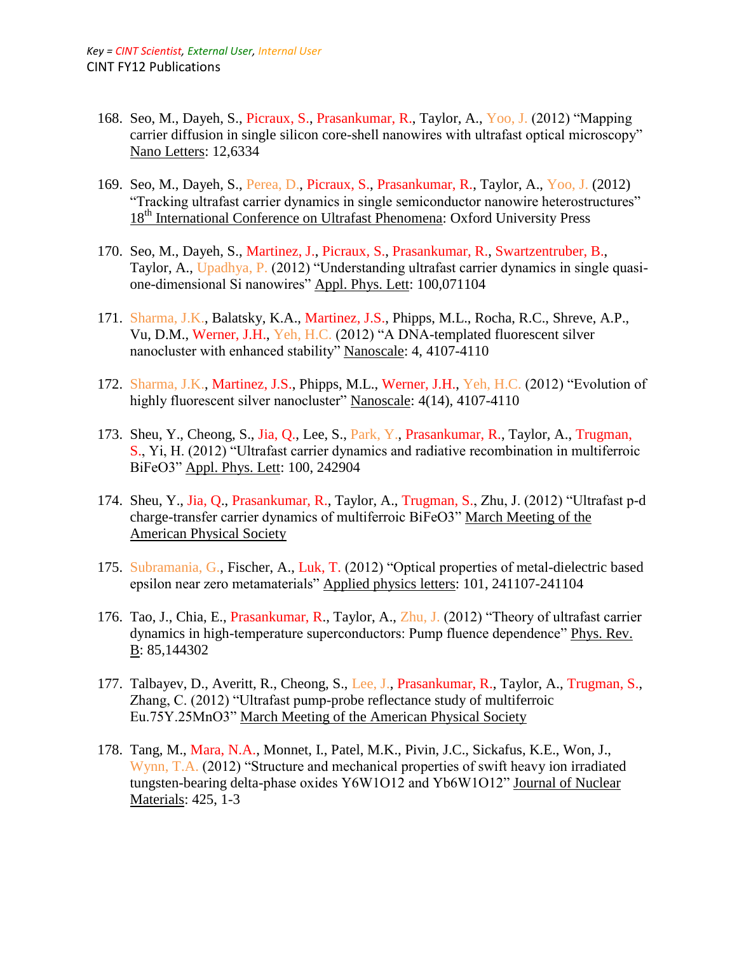- 168. Seo, M., Dayeh, S., Picraux, S., Prasankumar, R., Taylor, A., Yoo, J. (2012) "Mapping carrier diffusion in single silicon core-shell nanowires with ultrafast optical microscopy" Nano Letters: 12,6334
- 169. Seo, M., Dayeh, S., Perea, D., Picraux, S., Prasankumar, R., Taylor, A., Yoo, J. (2012) "Tracking ultrafast carrier dynamics in single semiconductor nanowire heterostructures" 18<sup>th</sup> International Conference on Ultrafast Phenomena: Oxford University Press
- 170. Seo, M., Dayeh, S., Martinez, J., Picraux, S., Prasankumar, R., Swartzentruber, B., Taylor, A., Upadhya, P. (2012) "Understanding ultrafast carrier dynamics in single quasione-dimensional Si nanowires" Appl. Phys. Lett: 100,071104
- 171. Sharma, J.K., Balatsky, K.A., Martinez, J.S., Phipps, M.L., Rocha, R.C., Shreve, A.P., Vu, D.M., Werner, J.H., Yeh, H.C. (2012) "A DNA-templated fluorescent silver nanocluster with enhanced stability" Nanoscale: 4, 4107-4110
- 172. Sharma, J.K., Martinez, J.S., Phipps, M.L., Werner, J.H., Yeh, H.C. (2012) "Evolution of highly fluorescent silver nanocluster" Nanoscale: 4(14), 4107-4110
- 173. Sheu, Y., Cheong, S., Jia, Q., Lee, S., Park, Y., Prasankumar, R., Taylor, A., Trugman, S., Yi, H. (2012) "Ultrafast carrier dynamics and radiative recombination in multiferroic BiFeO3" Appl. Phys. Lett: 100, 242904
- 174. Sheu, Y., Jia, Q., Prasankumar, R., Taylor, A., Trugman, S., Zhu, J. (2012) "Ultrafast p-d charge-transfer carrier dynamics of multiferroic BiFeO3" March Meeting of the American Physical Society
- 175. Subramania, G., Fischer, A., Luk, T. (2012) "Optical properties of metal-dielectric based epsilon near zero metamaterials" Applied physics letters: 101, 241107-241104
- 176. Tao, J., Chia, E., Prasankumar, R., Taylor, A., Zhu, J. (2012) "Theory of ultrafast carrier dynamics in high-temperature superconductors: Pump fluence dependence" Phys. Rev. B: 85,144302
- 177. Talbayev, D., Averitt, R., Cheong, S., Lee, J., Prasankumar, R., Taylor, A., Trugman, S., Zhang, C. (2012) "Ultrafast pump-probe reflectance study of multiferroic Eu.75Y.25MnO3" March Meeting of the American Physical Society
- 178. Tang, M., Mara, N.A., Monnet, I., Patel, M.K., Pivin, J.C., Sickafus, K.E., Won, J., Wynn, T.A. (2012) "Structure and mechanical properties of swift heavy ion irradiated tungsten-bearing delta-phase oxides Y6W1O12 and Yb6W1O12" Journal of Nuclear Materials: 425, 1-3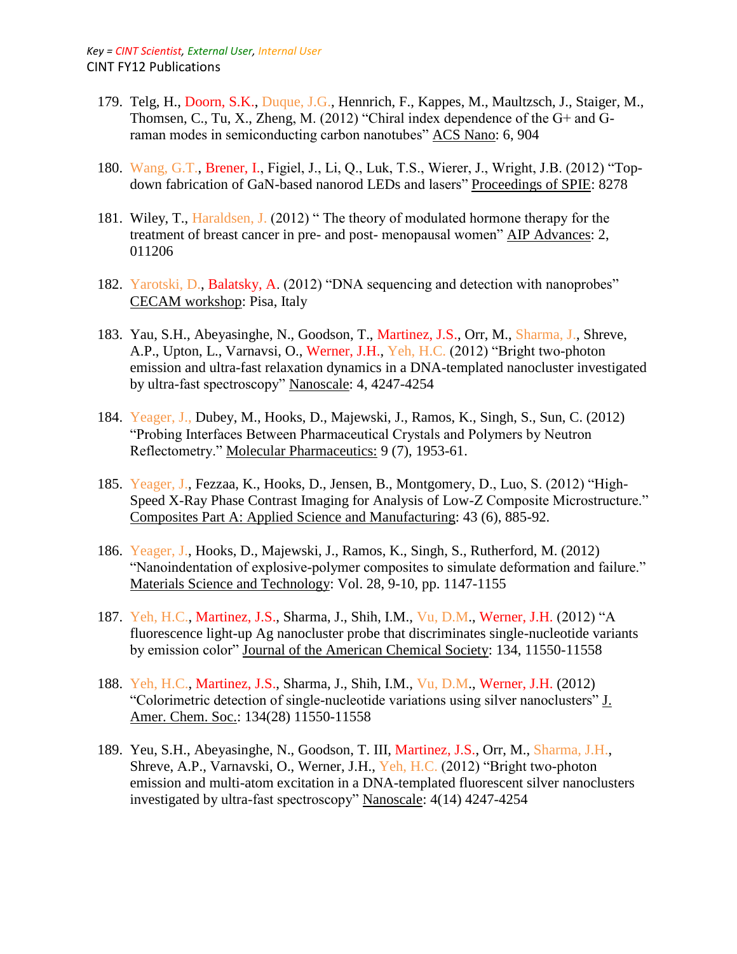- 179. Telg, H., Doorn, S.K., Duque, J.G., Hennrich, F., Kappes, M., Maultzsch, J., Staiger, M., Thomsen, C., Tu, X., Zheng, M. (2012) "Chiral index dependence of the G+ and Graman modes in semiconducting carbon nanotubes" ACS Nano: 6, 904
- 180. Wang, G.T., Brener, I., Figiel, J., Li, Q., Luk, T.S., Wierer, J., Wright, J.B. (2012) "Topdown fabrication of GaN-based nanorod LEDs and lasers" Proceedings of SPIE: 8278
- 181. Wiley, T., Haraldsen, J. (2012) " The theory of modulated hormone therapy for the treatment of breast cancer in pre- and post- menopausal women" AIP Advances: 2, 011206
- 182. Yarotski, D., Balatsky, A. (2012) "DNA sequencing and detection with nanoprobes" CECAM workshop: Pisa, Italy
- 183. Yau, S.H., Abeyasinghe, N., Goodson, T., Martinez, J.S., Orr, M., Sharma, J., Shreve, A.P., Upton, L., Varnavsi, O., Werner, J.H., Yeh, H.C. (2012) "Bright two-photon emission and ultra-fast relaxation dynamics in a DNA-templated nanocluster investigated by ultra-fast spectroscopy" Nanoscale: 4, 4247-4254
- 184. Yeager, J., Dubey, M., Hooks, D., Majewski, J., Ramos, K., Singh, S., Sun, C. (2012) "Probing Interfaces Between Pharmaceutical Crystals and Polymers by Neutron Reflectometry." Molecular Pharmaceutics: 9 (7), 1953-61.
- 185. Yeager, J., Fezzaa, K., Hooks, D., Jensen, B., Montgomery, D., Luo, S. (2012) "High-Speed X-Ray Phase Contrast Imaging for Analysis of Low-Z Composite Microstructure." Composites Part A: Applied Science and Manufacturing: 43 (6), 885-92.
- 186. Yeager, J., Hooks, D., Majewski, J., Ramos, K., Singh, S., Rutherford, M. (2012) "Nanoindentation of explosive-polymer composites to simulate deformation and failure." Materials Science and Technology: Vol. 28, 9-10, pp. 1147-1155
- 187. Yeh, H.C., Martinez, J.S., Sharma, J., Shih, I.M., Vu, D.M., Werner, J.H. (2012) "A fluorescence light-up Ag nanocluster probe that discriminates single-nucleotide variants by emission color" Journal of the American Chemical Society: 134, 11550-11558
- 188. Yeh, H.C., Martinez, J.S., Sharma, J., Shih, I.M., Vu, D.M., Werner, J.H. (2012) "Colorimetric detection of single-nucleotide variations using silver nanoclusters" J. Amer. Chem. Soc.: 134(28) 11550-11558
- 189. Yeu, S.H., Abeyasinghe, N., Goodson, T. III, Martinez, J.S., Orr, M., Sharma, J.H., Shreve, A.P., Varnavski, O., Werner, J.H., Yeh, H.C. (2012) "Bright two-photon emission and multi-atom excitation in a DNA-templated fluorescent silver nanoclusters investigated by ultra-fast spectroscopy" Nanoscale: 4(14) 4247-4254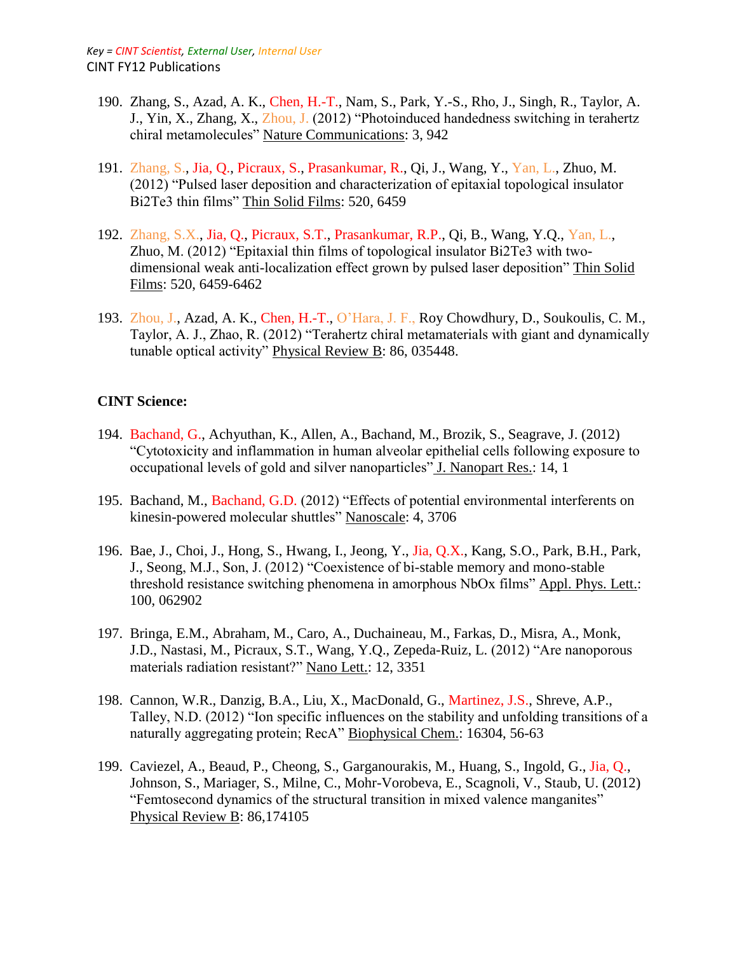- 190. Zhang, S., Azad, A. K., Chen, H.-T., Nam, S., Park, Y.-S., Rho, J., Singh, R., Taylor, A. J., Yin, X., Zhang, X., Zhou, J. (2012) "Photoinduced handedness switching in terahertz chiral metamolecules" Nature Communications: 3, 942
- 191. Zhang, S., Jia, Q., Picraux, S., Prasankumar, R., Qi, J., Wang, Y., Yan, L., Zhuo, M. (2012) "Pulsed laser deposition and characterization of epitaxial topological insulator Bi2Te3 thin films" Thin Solid Films: 520, 6459
- 192. Zhang, S.X., Jia, Q., Picraux, S.T., Prasankumar, R.P., Qi, B., Wang, Y.Q., Yan, L., Zhuo, M. (2012) "Epitaxial thin films of topological insulator Bi2Te3 with twodimensional weak anti-localization effect grown by pulsed laser deposition" Thin Solid Films: 520, 6459-6462
- 193. Zhou, J., Azad, A. K., Chen, H.-T., O'Hara, J. F., Roy Chowdhury, D., Soukoulis, C. M., Taylor, A. J., Zhao, R. (2012) "Terahertz chiral metamaterials with giant and dynamically tunable optical activity" Physical Review B: 86, 035448.

## **CINT Science:**

- 194. Bachand, G., Achyuthan, K., Allen, A., Bachand, M., Brozik, S., Seagrave, J. (2012) "Cytotoxicity and inflammation in human alveolar epithelial cells following exposure to occupational levels of gold and silver nanoparticles" J. Nanopart Res.: 14, 1
- 195. Bachand, M., Bachand, G.D. (2012) "Effects of potential environmental interferents on kinesin-powered molecular shuttles" Nanoscale: 4, 3706
- 196. Bae, J., Choi, J., Hong, S., Hwang, I., Jeong, Y., Jia, Q.X., Kang, S.O., Park, B.H., Park, J., Seong, M.J., Son, J. (2012) "Coexistence of bi-stable memory and mono-stable threshold resistance switching phenomena in amorphous NbOx films" Appl. Phys. Lett.: 100, 062902
- 197. Bringa, E.M., Abraham, M., Caro, A., Duchaineau, M., Farkas, D., Misra, A., Monk, J.D., Nastasi, M., Picraux, S.T., Wang, Y.Q., Zepeda-Ruiz, L. (2012) "Are nanoporous materials radiation resistant?" Nano Lett.: 12, 3351
- 198. Cannon, W.R., Danzig, B.A., Liu, X., MacDonald, G., Martinez, J.S., Shreve, A.P., Talley, N.D. (2012) "Ion specific influences on the stability and unfolding transitions of a naturally aggregating protein; RecA" Biophysical Chem.: 16304, 56-63
- 199. Caviezel, A., Beaud, P., Cheong, S., Garganourakis, M., Huang, S., Ingold, G., Jia, Q., Johnson, S., Mariager, S., Milne, C., Mohr-Vorobeva, E., Scagnoli, V., Staub, U. (2012) "Femtosecond dynamics of the structural transition in mixed valence manganites" Physical Review B: 86,174105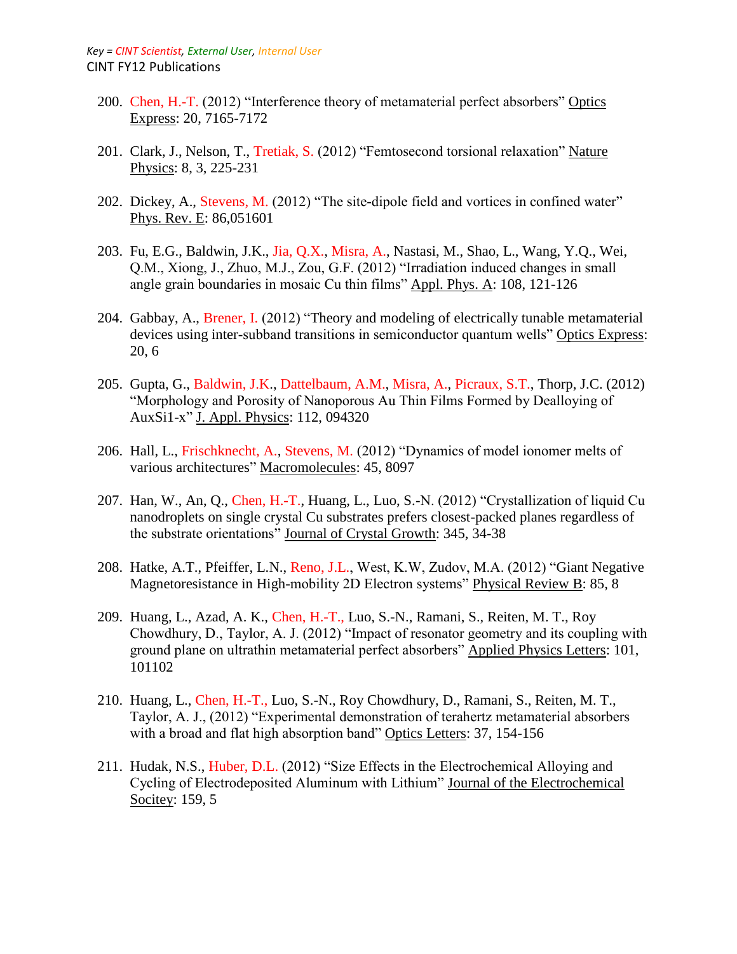- 200. Chen, H.-T. (2012) "Interference theory of metamaterial perfect absorbers" Optics Express: 20, 7165-7172
- 201. Clark, J., Nelson, T., Tretiak, S. (2012) "Femtosecond torsional relaxation" Nature Physics: 8, 3, 225-231
- 202. Dickey, A., Stevens, M. (2012) "The site-dipole field and vortices in confined water" Phys. Rev. E: 86,051601
- 203. Fu, E.G., Baldwin, J.K., Jia, Q.X., Misra, A., Nastasi, M., Shao, L., Wang, Y.Q., Wei, Q.M., Xiong, J., Zhuo, M.J., Zou, G.F. (2012) "Irradiation induced changes in small angle grain boundaries in mosaic Cu thin films" Appl. Phys. A: 108, 121-126
- 204. Gabbay, A., Brener, I. (2012) "Theory and modeling of electrically tunable metamaterial devices using inter-subband transitions in semiconductor quantum wells" Optics Express: 20, 6
- 205. Gupta, G., Baldwin, J.K., Dattelbaum, A.M., Misra, A., Picraux, S.T., Thorp, J.C. (2012) "Morphology and Porosity of Nanoporous Au Thin Films Formed by Dealloying of AuxSi1-x" J. Appl. Physics: 112, 094320
- 206. Hall, L., Frischknecht, A., Stevens, M. (2012) "Dynamics of model ionomer melts of various architectures" Macromolecules: 45, 8097
- 207. Han, W., An, Q., Chen, H.-T., Huang, L., Luo, S.-N. (2012) "Crystallization of liquid Cu nanodroplets on single crystal Cu substrates prefers closest-packed planes regardless of the substrate orientations" Journal of Crystal Growth: 345, 34-38
- 208. Hatke, A.T., Pfeiffer, L.N., Reno, J.L., West, K.W, Zudov, M.A. (2012) "Giant Negative Magnetoresistance in High-mobility 2D Electron systems" Physical Review B: 85, 8
- 209. Huang, L., Azad, A. K., Chen, H.-T., Luo, S.-N., Ramani, S., Reiten, M. T., Roy Chowdhury, D., Taylor, A. J. (2012) "Impact of resonator geometry and its coupling with ground plane on ultrathin metamaterial perfect absorbers" Applied Physics Letters: 101, 101102
- 210. Huang, L., Chen, H.-T., Luo, S.-N., Roy Chowdhury, D., Ramani, S., Reiten, M. T., Taylor, A. J., (2012) "Experimental demonstration of terahertz metamaterial absorbers with a broad and flat high absorption band" Optics Letters: 37, 154-156
- 211. Hudak, N.S., Huber, D.L. (2012) "Size Effects in the Electrochemical Alloying and Cycling of Electrodeposited Aluminum with Lithium" Journal of the Electrochemical Socitey: 159, 5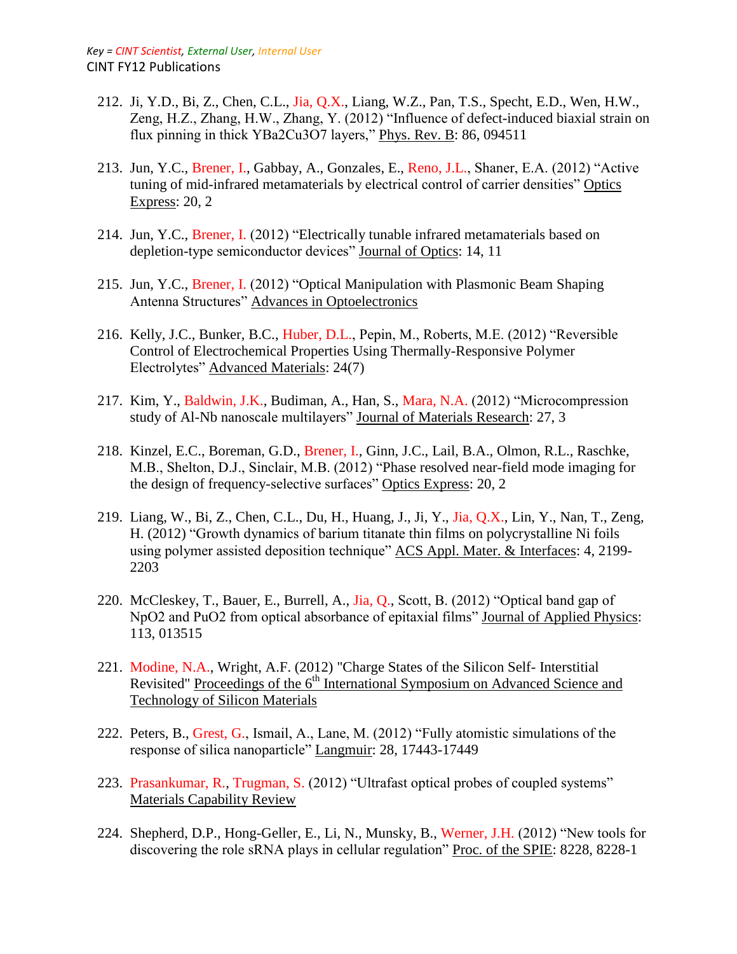- 212. Ji, Y.D., Bi, Z., Chen, C.L., Jia, Q.X., Liang, W.Z., Pan, T.S., Specht, E.D., Wen, H.W., Zeng, H.Z., Zhang, H.W., Zhang, Y. (2012) "Influence of defect-induced biaxial strain on flux pinning in thick YBa2Cu3O7 layers," Phys. Rev. B: 86, 094511
- 213. Jun, Y.C., Brener, I., Gabbay, A., Gonzales, E., Reno, J.L., Shaner, E.A. (2012) "Active tuning of mid-infrared metamaterials by electrical control of carrier densities" Optics Express: 20, 2
- 214. Jun, Y.C., Brener, I. (2012) "Electrically tunable infrared metamaterials based on depletion-type semiconductor devices" Journal of Optics: 14, 11
- 215. Jun, Y.C., Brener, I. (2012) "Optical Manipulation with Plasmonic Beam Shaping Antenna Structures" Advances in Optoelectronics
- 216. Kelly, J.C., Bunker, B.C., Huber, D.L., Pepin, M., Roberts, M.E. (2012) "Reversible Control of Electrochemical Properties Using Thermally-Responsive Polymer Electrolytes" Advanced Materials: 24(7)
- 217. Kim, Y., Baldwin, J.K., Budiman, A., Han, S., Mara, N.A. (2012) "Microcompression study of Al-Nb nanoscale multilayers" Journal of Materials Research: 27, 3
- 218. Kinzel, E.C., Boreman, G.D., Brener, I., Ginn, J.C., Lail, B.A., Olmon, R.L., Raschke, M.B., Shelton, D.J., Sinclair, M.B. (2012) "Phase resolved near-field mode imaging for the design of frequency-selective surfaces" Optics Express: 20, 2
- 219. Liang, W., Bi, Z., Chen, C.L., Du, H., Huang, J., Ji, Y., Jia, Q.X., Lin, Y., Nan, T., Zeng, H. (2012) "Growth dynamics of barium titanate thin films on polycrystalline Ni foils using polymer assisted deposition technique" ACS Appl. Mater. & Interfaces: 4, 2199- 2203
- 220. McCleskey, T., Bauer, E., Burrell, A., Jia, Q., Scott, B. (2012) "Optical band gap of NpO2 and PuO2 from optical absorbance of epitaxial films" Journal of Applied Physics: 113, 013515
- 221. Modine, N.A., Wright, A.F. (2012) "Charge States of the Silicon Self- Interstitial Revisited" Proceedings of the 6<sup>th</sup> International Symposium on Advanced Science and Technology of Silicon Materials
- 222. Peters, B., Grest, G., Ismail, A., Lane, M. (2012) "Fully atomistic simulations of the response of silica nanoparticle" Langmuir: 28, 17443-17449
- 223. Prasankumar, R., Trugman, S. (2012) "Ultrafast optical probes of coupled systems" Materials Capability Review
- 224. Shepherd, D.P., Hong-Geller, E., Li, N., Munsky, B., Werner, J.H. (2012) "New tools for discovering the role sRNA plays in cellular regulation" Proc. of the SPIE: 8228, 8228-1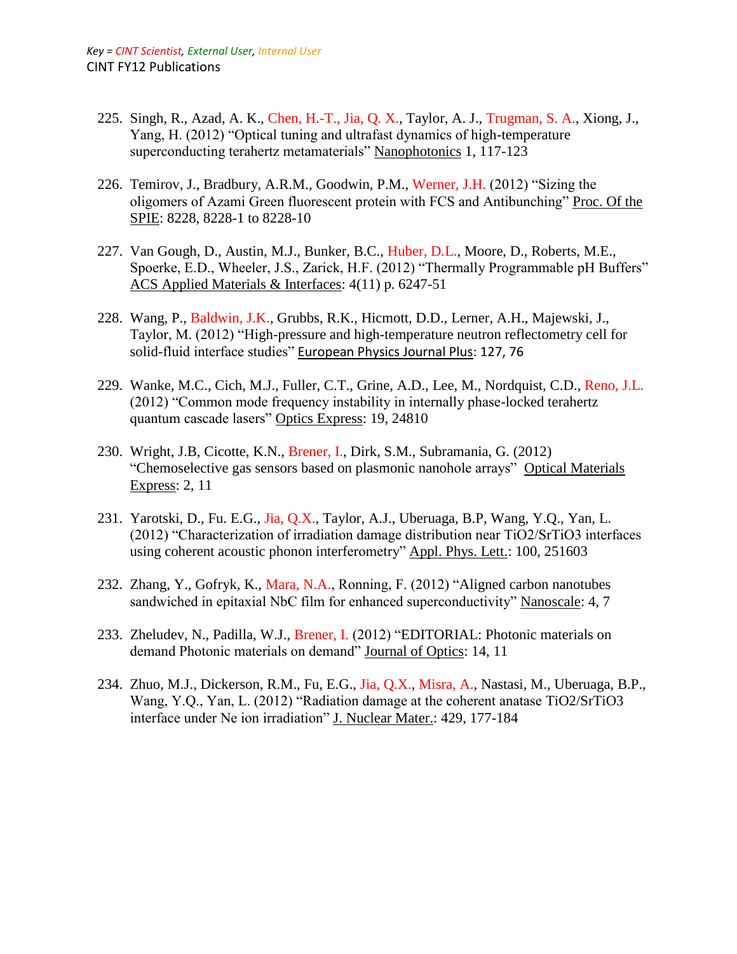- 225. Singh, R., Azad, A. K., Chen, H.-T., Jia, Q. X., Taylor, A. J., Trugman, S. A., Xiong, J., Yang, H. (2012) "Optical tuning and ultrafast dynamics of high-temperature superconducting terahertz metamaterials" Nanophotonics 1, 117-123
- 226. Temirov, J., Bradbury, A.R.M., Goodwin, P.M., Werner, J.H. (2012) "Sizing the oligomers of Azami Green fluorescent protein with FCS and Antibunching" Proc. Of the SPIE: 8228, 8228-1 to 8228-10
- 227. Van Gough, D., Austin, M.J., Bunker, B.C., Huber, D.L., Moore, D., Roberts, M.E., Spoerke, E.D., Wheeler, J.S., Zarick, H.F. (2012) "Thermally Programmable pH Buffers" ACS Applied Materials & Interfaces: 4(11) p. 6247-51
- 228. Wang, P., Baldwin, J.K., Grubbs, R.K., Hicmott, D.D., Lerner, A.H., Majewski, J., Taylor, M. (2012) "High-pressure and high-temperature neutron reflectometry cell for solid-fluid interface studies" European Physics Journal Plus: 127, 76
- 229. Wanke, M.C., Cich, M.J., Fuller, C.T., Grine, A.D., Lee, M., Nordquist, C.D., Reno, J.L. (2012) "Common mode frequency instability in internally phase-locked terahertz quantum cascade lasers" Optics Express: 19, 24810
- 230. Wright, J.B, Cicotte, K.N., Brener, I., Dirk, S.M., Subramania, G. (2012) "Chemoselective gas sensors based on plasmonic nanohole arrays" Optical Materials Express: 2, 11
- 231. Yarotski, D., Fu. E.G., Jia, Q.X., Taylor, A.J., Uberuaga, B.P, Wang, Y.Q., Yan, L. (2012) "Characterization of irradiation damage distribution near TiO2/SrTiO3 interfaces using coherent acoustic phonon interferometry" Appl. Phys. Lett.: 100, 251603
- 232. Zhang, Y., Gofryk, K., Mara, N.A., Ronning, F. (2012) "Aligned carbon nanotubes sandwiched in epitaxial NbC film for enhanced superconductivity" Nanoscale: 4, 7
- 233. Zheludev, N., Padilla, W.J., Brener, I. (2012) "EDITORIAL: Photonic materials on demand Photonic materials on demand" Journal of Optics: 14, 11
- 234. Zhuo, M.J., Dickerson, R.M., Fu, E.G., Jia, Q.X., Misra, A., Nastasi, M., Uberuaga, B.P., Wang, Y.Q., Yan, L. (2012) "Radiation damage at the coherent anatase TiO2/SrTiO3 interface under Ne ion irradiation" J. Nuclear Mater.: 429, 177-184